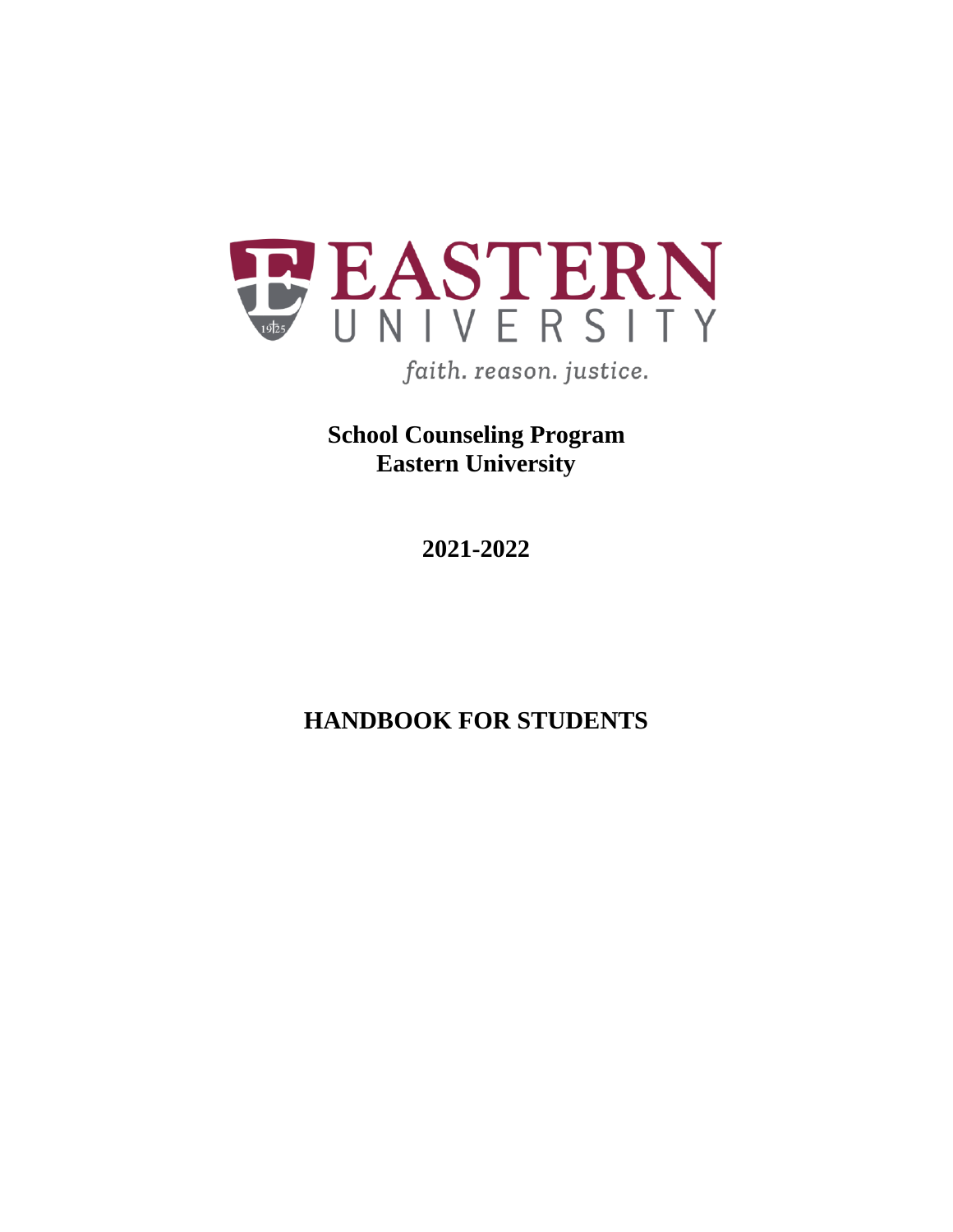

**School Counseling Program Eastern University**

**2021-2022**

**HANDBOOK FOR STUDENTS**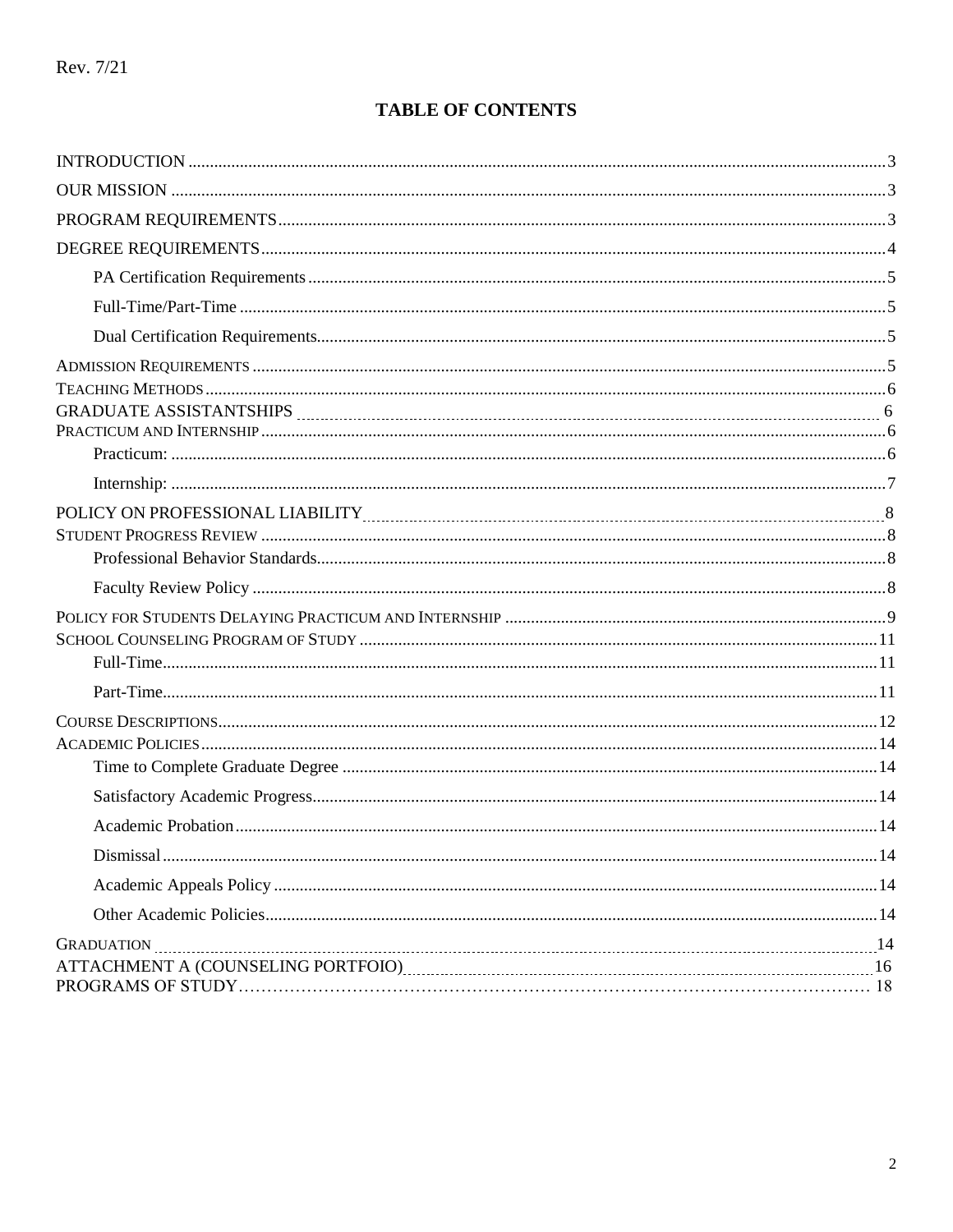# **TABLE OF CONTENTS**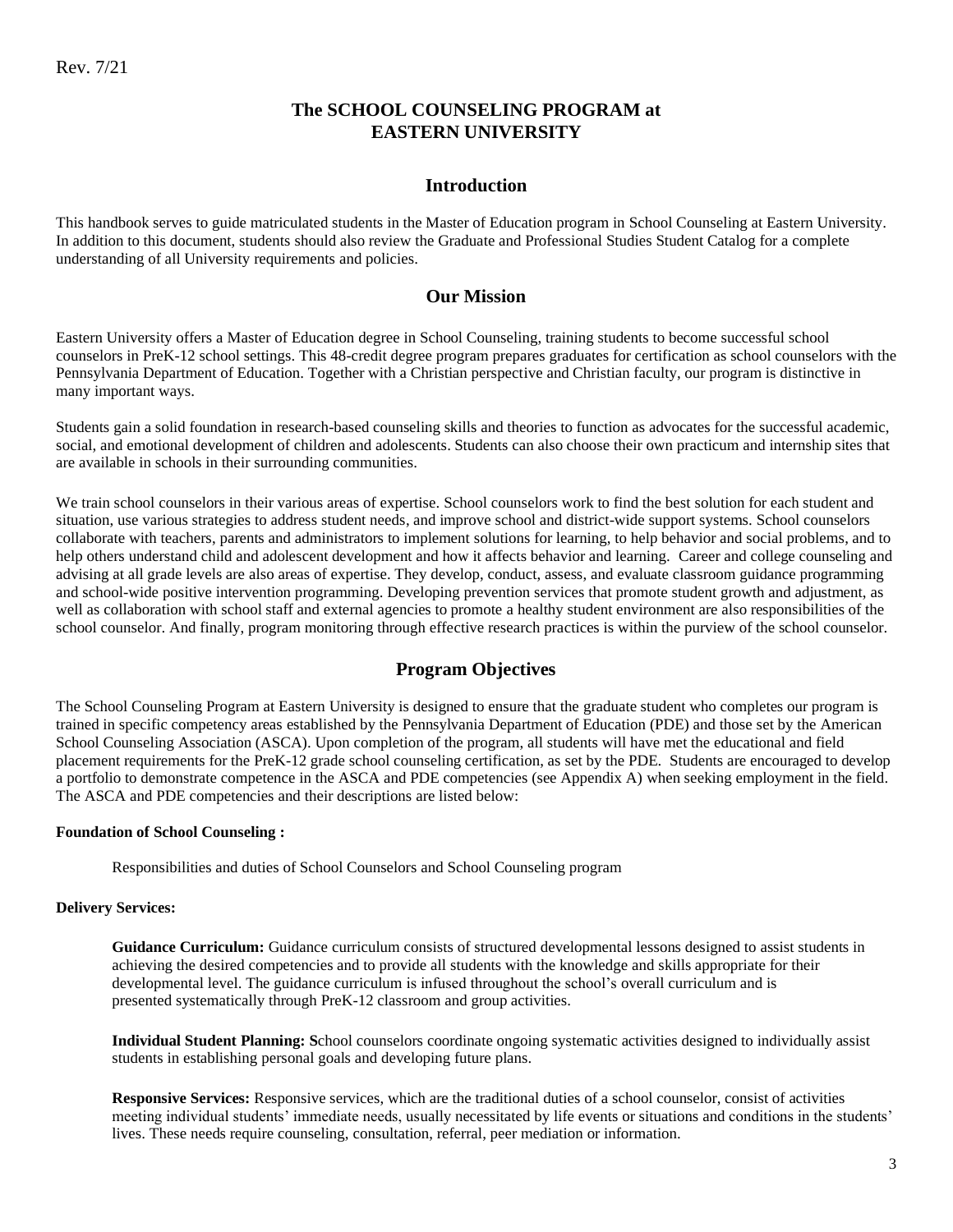## **The SCHOOL COUNSELING PROGRAM at EASTERN UNIVERSITY**

### **Introduction**

<span id="page-2-0"></span>This handbook serves to guide matriculated students in the Master of Education program in School Counseling at Eastern University. In addition to this document, students should also review the Graduate and Professional Studies Student Catalog for a complete understanding of all University requirements and policies.

### **Our Mission**

<span id="page-2-1"></span>Eastern University offers a Master of Education degree in School Counseling, training students to become successful school counselors in PreK-12 school settings. This 48-credit degree program prepares graduates for certification as school counselors with the Pennsylvania Department of Education. Together with a Christian perspective and Christian faculty, our program is distinctive in many important ways.

Students gain a solid foundation in research-based counseling skills and theories to function as advocates for the successful academic, social, and emotional development of children and adolescents. Students can also choose their own practicum and internship sites that are available in schools in their surrounding communities.

We train school counselors in their various areas of expertise. School counselors work to find the best solution for each student and situation, use various strategies to address student needs, and improve school and district-wide support systems. School counselors collaborate with teachers, parents and administrators to implement solutions for learning, to help behavior and social problems, and to help others understand child and adolescent development and how it affects behavior and learning. Career and college counseling and advising at all grade levels are also areas of expertise. They develop, conduct, assess, and evaluate classroom guidance programming and school-wide positive intervention programming. Developing prevention services that promote student growth and adjustment, as well as collaboration with school staff and external agencies to promote a healthy student environment are also responsibilities of the school counselor. And finally, program monitoring through effective research practices is within the purview of the school counselor.

### **Program Objectives**

<span id="page-2-2"></span>The School Counseling Program at Eastern University is designed to ensure that the graduate student who completes our program is trained in specific competency areas established by the Pennsylvania Department of Education (PDE) and those set by the American School Counseling Association (ASCA). Upon completion of the program, all students will have met the educational and field placement requirements for the PreK-12 grade school counseling certification, as set by the PDE. Students are encouraged to develop a portfolio to demonstrate competence in the ASCA and PDE competencies (see Appendix A) when seeking employment in the field. The ASCA and PDE competencies and their descriptions are listed below:

#### **Foundation of School Counseling :**

Responsibilities and duties of School Counselors and School Counseling program

#### **Delivery Services:**

**Guidance Curriculum:** Guidance curriculum consists of structured developmental lessons designed to assist students in achieving the desired competencies and to provide all students with the knowledge and skills appropriate for their developmental level. The guidance curriculum is infused throughout the school's overall curriculum and is presented systematically through PreK-12 classroom and group activities.

**Individual Student Planning: S**chool counselors coordinate ongoing systematic activities designed to individually assist students in establishing personal goals and developing future plans.

**Responsive Services:** Responsive services, which are the traditional duties of a school counselor, consist of activities meeting individual students' immediate needs, usually necessitated by life events or situations and conditions in the students' lives. These needs require counseling, consultation, referral, peer mediation or information.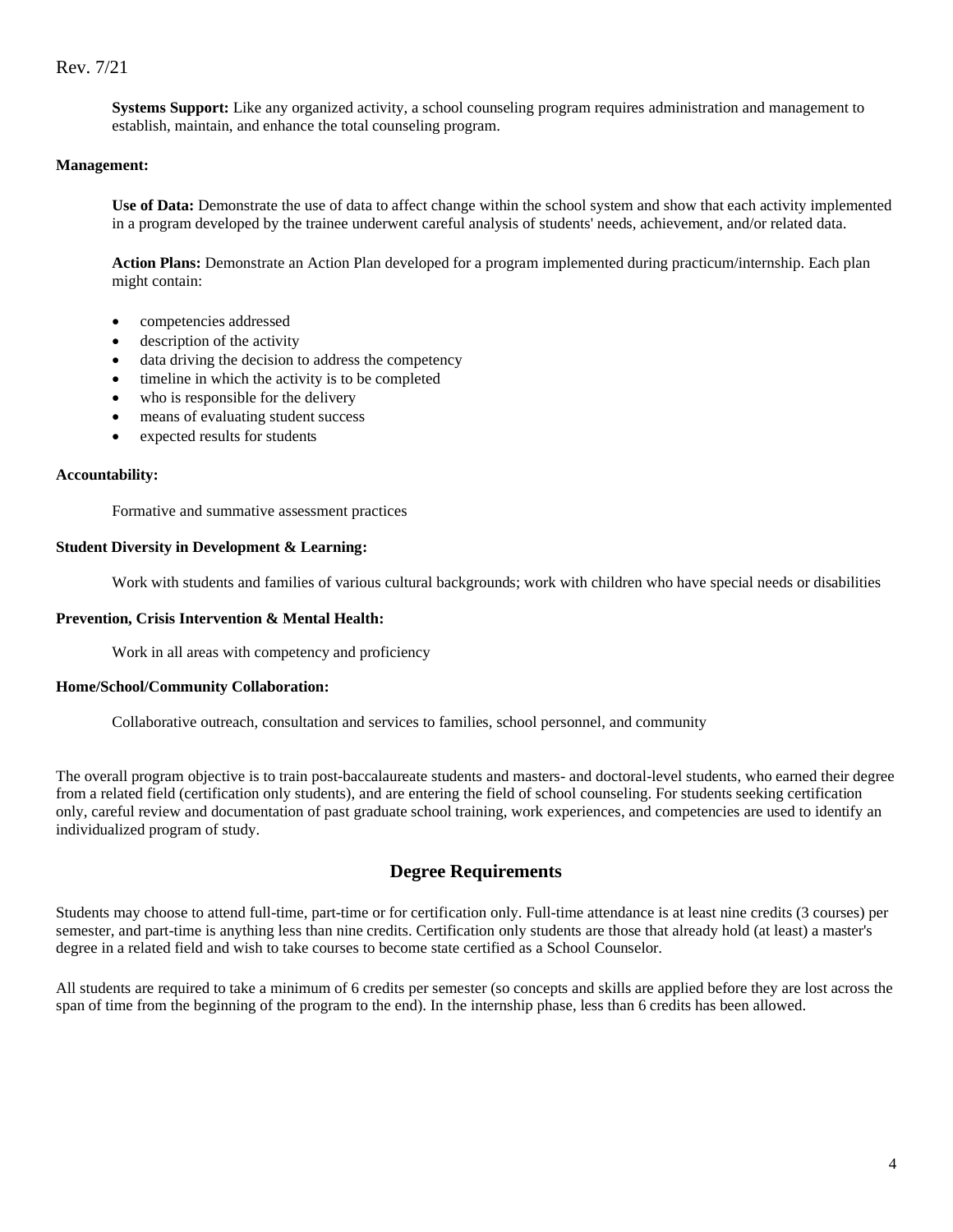**Systems Support:** Like any organized activity, a school counseling program requires administration and management to establish, maintain, and enhance the total counseling program.

#### **Management:**

**Use of Data:** Demonstrate the use of data to affect change within the school system and show that each activity implemented in a program developed by the trainee underwent careful analysis of students' needs, achievement, and/or related data.

**Action Plans:** Demonstrate an Action Plan developed for a program implemented during practicum/internship. Each plan might contain:

- competencies addressed
- description of the activity
- data driving the decision to address the competency
- timeline in which the activity is to be completed
- who is responsible for the delivery
- means of evaluating student success
- expected results for students

#### **Accountability:**

Formative and summative assessment practices

#### **Student Diversity in Development & Learning:**

Work with students and families of various cultural backgrounds; work with children who have special needs or disabilities

### **Prevention, Crisis Intervention & Mental Health:**

Work in all areas with competency and proficiency

#### **Home/School/Community Collaboration:**

Collaborative outreach, consultation and services to families, school personnel, and community

The overall program objective is to train post-baccalaureate students and masters- and doctoral-level students, who earned their degree from a related field (certification only students), and are entering the field of school counseling. For students seeking certification only, careful review and documentation of past graduate school training, work experiences, and competencies are used to identify an individualized program of study.

## **Degree Requirements**

<span id="page-3-0"></span>Students may choose to attend full-time, part-time or for certification only. Full-time attendance is at least nine credits (3 courses) per semester, and part-time is anything less than nine credits. Certification only students are those that already hold (at least) a master's degree in a related field and wish to take courses to become state certified as a School Counselor.

All students are required to take a minimum of 6 credits per semester (so concepts and skills are applied before they are lost across the span of time from the beginning of the program to the end). In the internship phase, less than 6 credits has been allowed.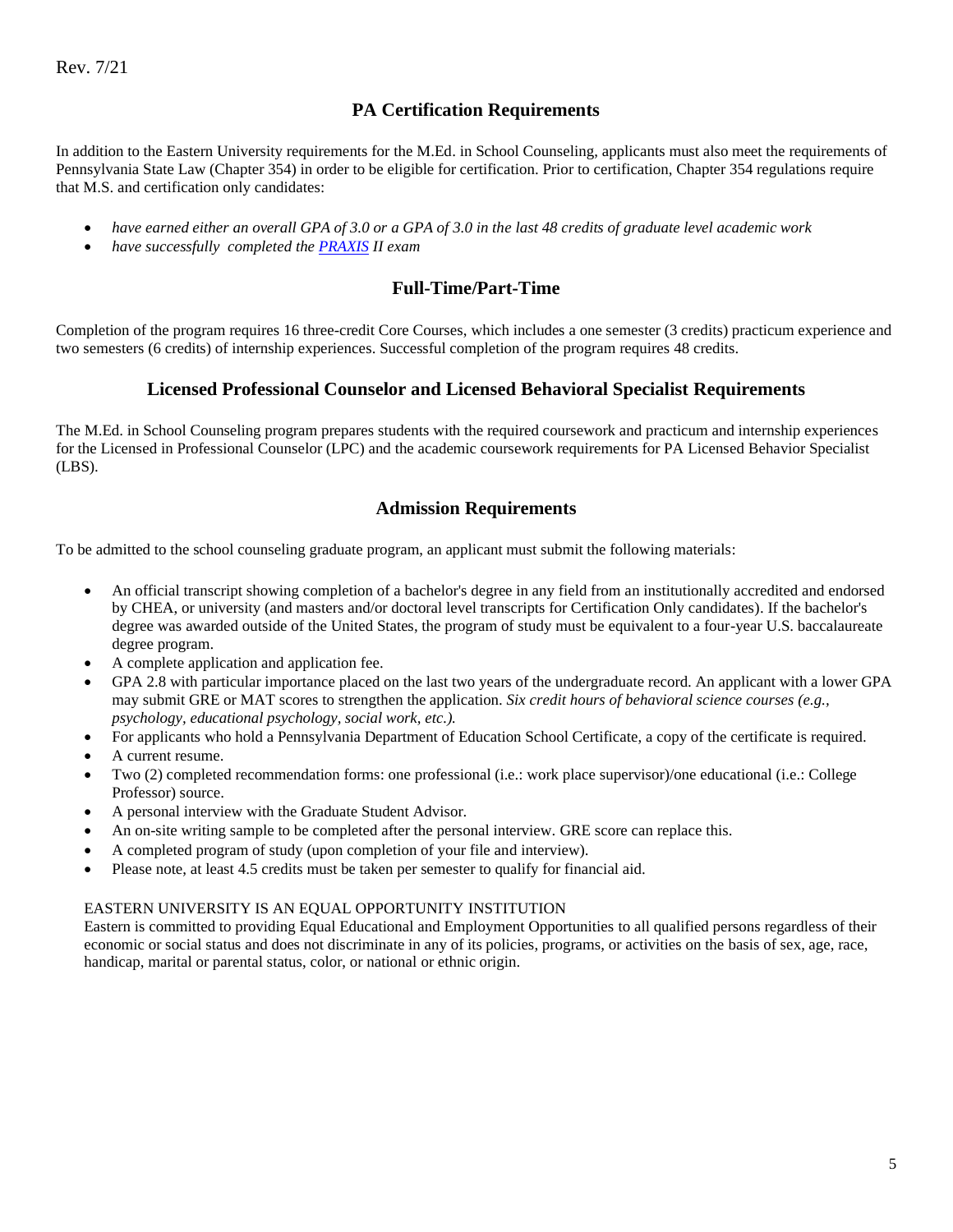## **PA Certification Requirements**

<span id="page-4-0"></span>In addition to the Eastern University requirements for the M.Ed. in School Counseling, applicants must also meet the requirements of Pennsylvania State Law (Chapter 354) in order to be eligible for certification. Prior to certification, Chapter 354 regulations require that M.S. and certification only candidates:

- *have earned either an overall GPA of 3.0 or a GPA of 3.0 in the last 48 credits of graduate level academic work*
- <span id="page-4-1"></span>• *have successfully completed th[e PRAXIS](http://www.ets.org/portal/site/ets/menuitem.435c0b5cc7bd0ae7015d9510c3921509/?vgnextoid=48c05ee3d74f4010VgnVCM10000022f95190RCRD) II exam*

## **Full-Time/Part-Time**

Completion of the program requires 16 three-credit Core Courses, which includes a one semester (3 credits) practicum experience and two semesters (6 credits) of internship experiences. Successful completion of the program requires 48 credits.

## **Licensed Professional Counselor and Licensed Behavioral Specialist Requirements**

<span id="page-4-2"></span>The M.Ed. in School Counseling program prepares students with the required coursework and practicum and internship experiences for the Licensed in Professional Counselor (LPC) and the academic coursework requirements for PA Licensed Behavior Specialist (LBS).

## **Admission Requirements**

To be admitted to the school counseling graduate program, an applicant must submit the following materials:

- An official transcript showing completion of a bachelor's degree in any field from an institutionally accredited and endorsed by CHEA, or university (and masters and/or doctoral level transcripts for Certification Only candidates). If the bachelor's degree was awarded outside of the United States, the program of study must be equivalent to a four-year U.S. baccalaureate degree program.
- A complete application and application fee.
- GPA 2.8 with particular importance placed on the last two years of the undergraduate record. An applicant with a lower GPA may submit GRE or MAT scores to strengthen the application. *Six credit hours of behavioral science courses (e.g., psychology, educational psychology, social work, etc.).*
- For applicants who hold a Pennsylvania Department of Education School Certificate, a copy of the certificate is required.
- A current resume.
- Two (2) completed recommendation forms: one professional (i.e.: work place supervisor)/one educational (i.e.: College Professor) source.
- A personal interview with the Graduate Student Advisor.
- An on-site writing sample to be completed after the personal interview. GRE score can replace this.
- A completed program of study (upon completion of your file and interview).
- Please note, at least 4.5 credits must be taken per semester to qualify for financial aid.

### EASTERN UNIVERSITY IS AN EQUAL OPPORTUNITY INSTITUTION

Eastern is committed to providing Equal Educational and Employment Opportunities to all qualified persons regardless of their economic or social status and does not discriminate in any of its policies, programs, or activities on the basis of sex, age, race, handicap, marital or parental status, color, or national or ethnic origin.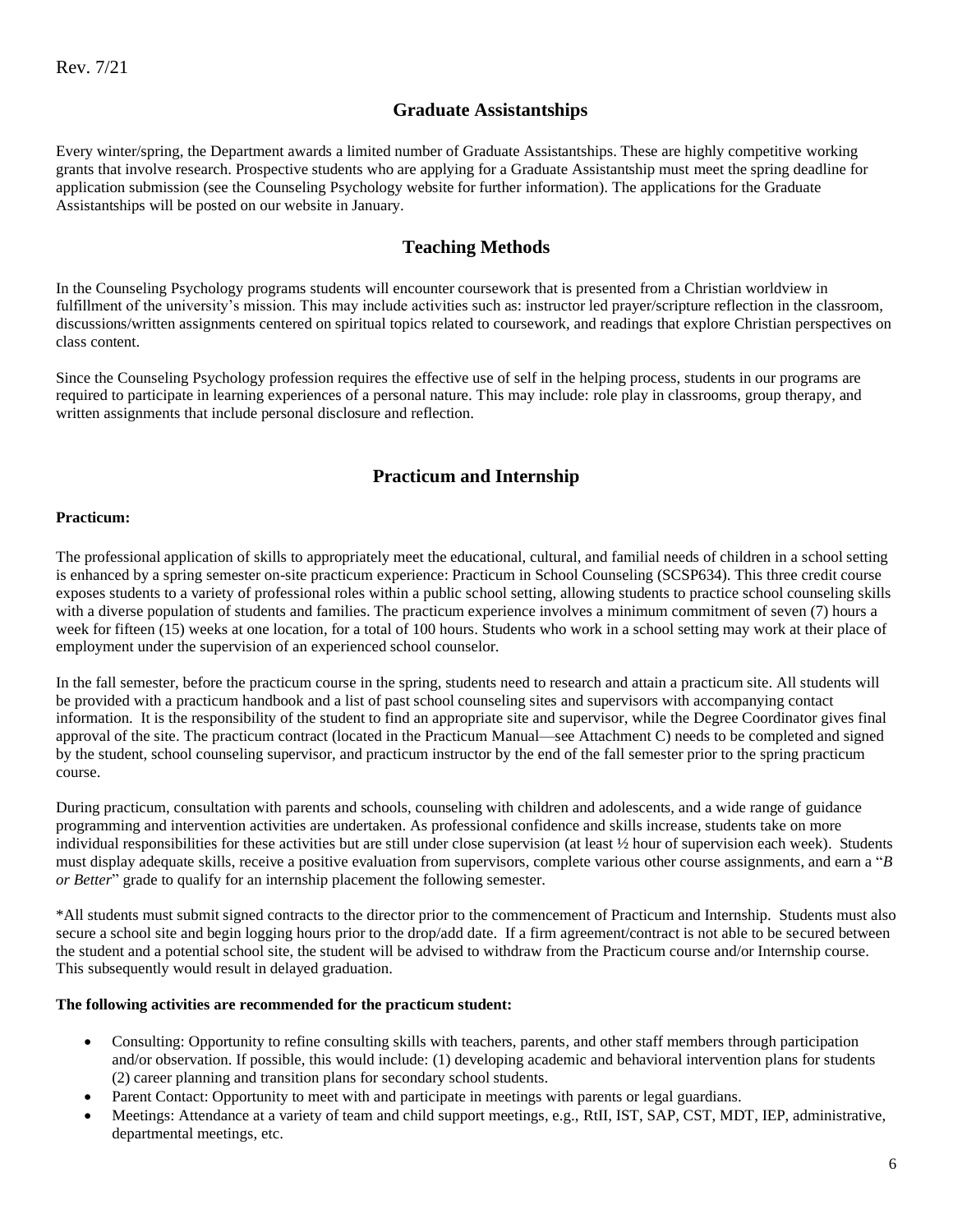### **Graduate Assistantships**

Every winter/spring, the Department awards a limited number of Graduate Assistantships. These are highly competitive working grants that involve research. Prospective students who are applying for a Graduate Assistantship must meet the spring deadline for application submission (see the Counseling Psychology website for further information). The applications for the Graduate Assistantships will be posted on our website in January.

## **Teaching Methods**

<span id="page-5-0"></span>In the Counseling Psychology programs students will encounter coursework that is presented from a Christian worldview in fulfillment of the university's mission. This may include activities such as: instructor led prayer/scripture reflection in the classroom, discussions/written assignments centered on spiritual topics related to coursework, and readings that explore Christian perspectives on class content.

Since the Counseling Psychology profession requires the effective use of self in the helping process, students in our programs are required to participate in learning experiences of a personal nature. This may include: role play in classrooms, group therapy, and written assignments that include personal disclosure and reflection.

## **Practicum and Internship**

#### <span id="page-5-2"></span><span id="page-5-1"></span>**Practicum:**

The professional application of skills to appropriately meet the educational, cultural, and familial needs of children in a school setting is enhanced by a spring semester on-site practicum experience: Practicum in School Counseling (SCSP634). This three credit course exposes students to a variety of professional roles within a public school setting, allowing students to practice school counseling skills with a diverse population of students and families. The practicum experience involves a minimum commitment of seven (7) hours a week for fifteen (15) weeks at one location, for a total of 100 hours. Students who work in a school setting may work at their place of employment under the supervision of an experienced school counselor.

In the fall semester, before the practicum course in the spring, students need to research and attain a practicum site. All students will be provided with a practicum handbook and a list of past school counseling sites and supervisors with accompanying contact information. It is the responsibility of the student to find an appropriate site and supervisor, while the Degree Coordinator gives final approval of the site. The practicum contract (located in the Practicum Manual—see Attachment C) needs to be completed and signed by the student, school counseling supervisor, and practicum instructor by the end of the fall semester prior to the spring practicum course.

During practicum, consultation with parents and schools, counseling with children and adolescents, and a wide range of guidance programming and intervention activities are undertaken. As professional confidence and skills increase, students take on more individual responsibilities for these activities but are still under close supervision (at least ½ hour of supervision each week). Students must display adequate skills, receive a positive evaluation from supervisors, complete various other course assignments, and earn a "*B or Better*" grade to qualify for an internship placement the following semester.

\*All students must submit signed contracts to the director prior to the commencement of Practicum and Internship. Students must also secure a school site and begin logging hours prior to the drop/add date. If a firm agreement/contract is not able to be secured between the student and a potential school site, the student will be advised to withdraw from the Practicum course and/or Internship course. This subsequently would result in delayed graduation.

#### **The following activities are recommended for the practicum student:**

- Consulting: Opportunity to refine consulting skills with teachers, parents, and other staff members through participation and/or observation. If possible, this would include: (1) developing academic and behavioral intervention plans for students (2) career planning and transition plans for secondary school students.
- Parent Contact: Opportunity to meet with and participate in meetings with parents or legal guardians.
- Meetings: Attendance at a variety of team and child support meetings, e.g., RtII, IST, SAP, CST, MDT, IEP, administrative, departmental meetings, etc.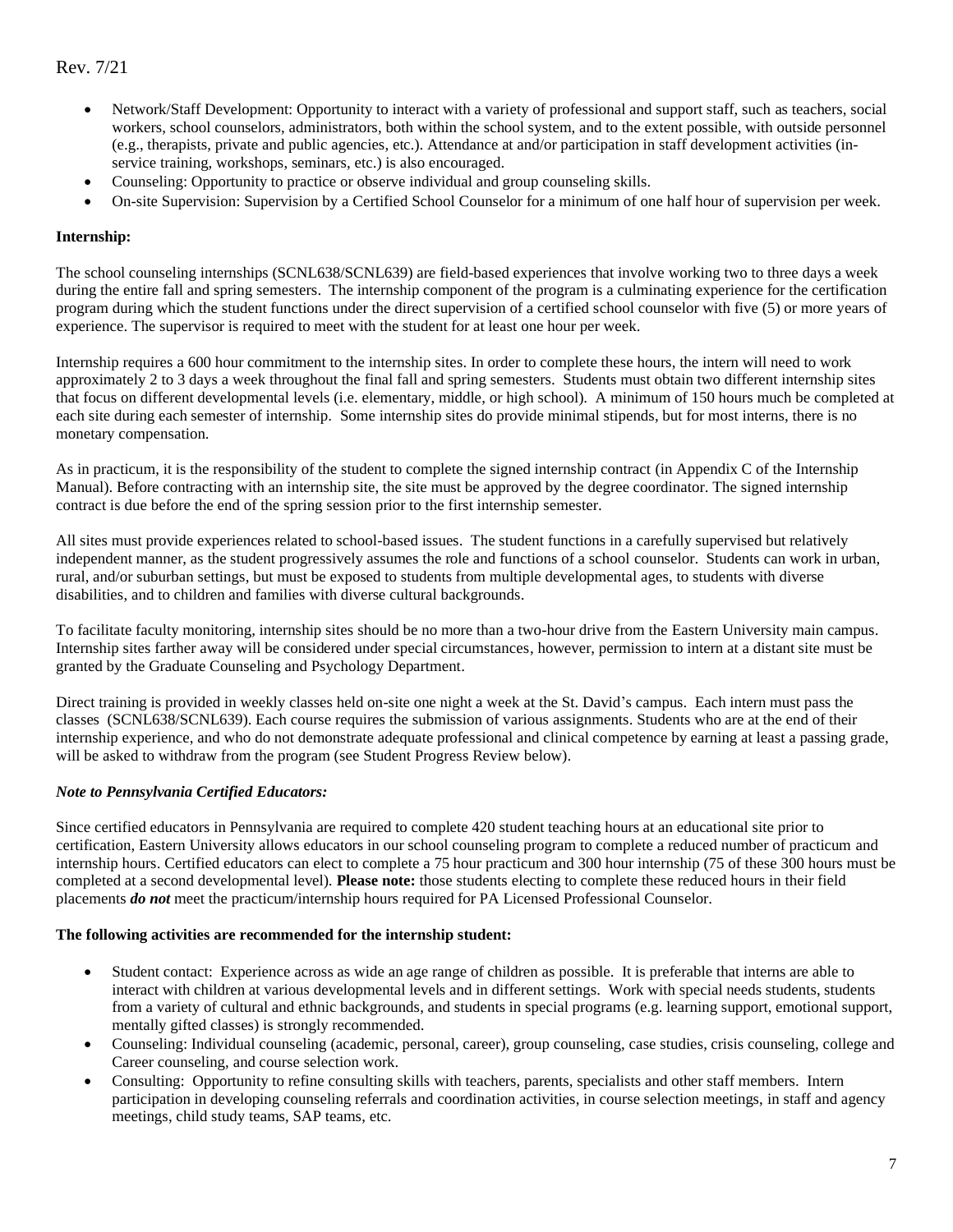- Network/Staff Development: Opportunity to interact with a variety of professional and support staff, such as teachers, social workers, school counselors, administrators, both within the school system, and to the extent possible, with outside personnel (e.g., therapists, private and public agencies, etc.). Attendance at and/or participation in staff development activities (inservice training, workshops, seminars, etc.) is also encouraged.
- Counseling: Opportunity to practice or observe individual and group counseling skills.
- On-site Supervision: Supervision by a Certified School Counselor for a minimum of one half hour of supervision per week.

### <span id="page-6-0"></span>**Internship:**

The school counseling internships (SCNL638/SCNL639) are field-based experiences that involve working two to three days a week during the entire fall and spring semesters. The internship component of the program is a culminating experience for the certification program during which the student functions under the direct supervision of a certified school counselor with five (5) or more years of experience. The supervisor is required to meet with the student for at least one hour per week.

Internship requires a 600 hour commitment to the internship sites. In order to complete these hours, the intern will need to work approximately 2 to 3 days a week throughout the final fall and spring semesters. Students must obtain two different internship sites that focus on different developmental levels (i.e. elementary, middle, or high school). A minimum of 150 hours much be completed at each site during each semester of internship. Some internship sites do provide minimal stipends, but for most interns, there is no monetary compensation.

As in practicum, it is the responsibility of the student to complete the signed internship contract (in Appendix C of the Internship Manual). Before contracting with an internship site, the site must be approved by the degree coordinator. The signed internship contract is due before the end of the spring session prior to the first internship semester.

All sites must provide experiences related to school-based issues. The student functions in a carefully supervised but relatively independent manner, as the student progressively assumes the role and functions of a school counselor. Students can work in urban, rural, and/or suburban settings, but must be exposed to students from multiple developmental ages, to students with diverse disabilities, and to children and families with diverse cultural backgrounds.

To facilitate faculty monitoring, internship sites should be no more than a two-hour drive from the Eastern University main campus. Internship sites farther away will be considered under special circumstances, however, permission to intern at a distant site must be granted by the Graduate Counseling and Psychology Department.

Direct training is provided in weekly classes held on-site one night a week at the St. David's campus. Each intern must pass the classes (SCNL638/SCNL639). Each course requires the submission of various assignments. Students who are at the end of their internship experience, and who do not demonstrate adequate professional and clinical competence by earning at least a passing grade, will be asked to withdraw from the program (see Student Progress Review below).

#### *Note to Pennsylvania Certified Educators:*

Since certified educators in Pennsylvania are required to complete 420 student teaching hours at an educational site prior to certification, Eastern University allows educators in our school counseling program to complete a reduced number of practicum and internship hours. Certified educators can elect to complete a 75 hour practicum and 300 hour internship (75 of these 300 hours must be completed at a second developmental level). **Please note:** those students electing to complete these reduced hours in their field placements *do not* meet the practicum/internship hours required for PA Licensed Professional Counselor.

#### **The following activities are recommended for the internship student:**

- Student contact: Experience across as wide an age range of children as possible. It is preferable that interns are able to interact with children at various developmental levels and in different settings. Work with special needs students, students from a variety of cultural and ethnic backgrounds, and students in special programs (e.g. learning support, emotional support, mentally gifted classes) is strongly recommended.
- Counseling: Individual counseling (academic, personal, career), group counseling, case studies, crisis counseling, college and Career counseling, and course selection work.
- Consulting: Opportunity to refine consulting skills with teachers, parents, specialists and other staff members. Intern participation in developing counseling referrals and coordination activities, in course selection meetings, in staff and agency meetings, child study teams, SAP teams, etc.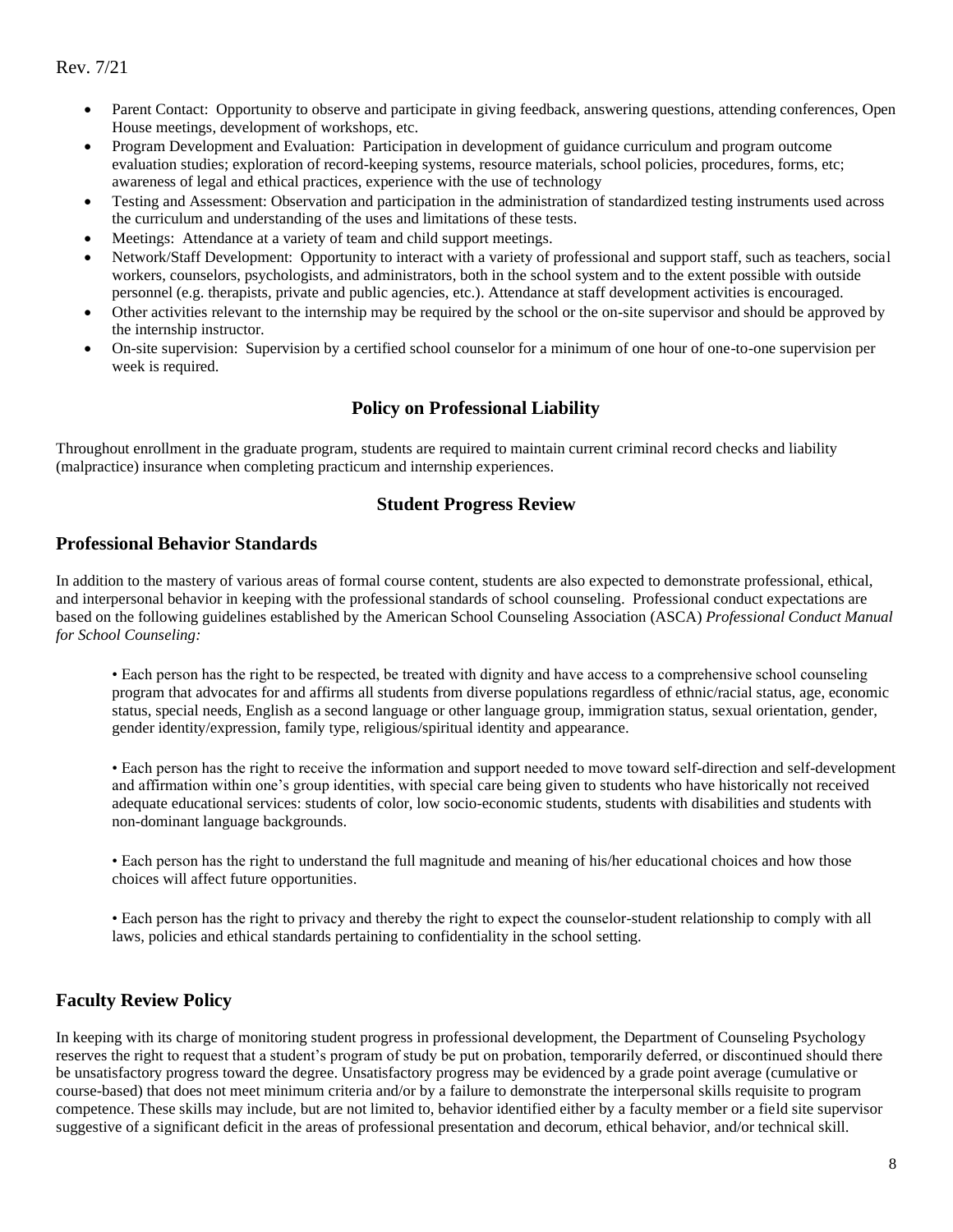- Parent Contact: Opportunity to observe and participate in giving feedback, answering questions, attending conferences, Open House meetings, development of workshops, etc.
- Program Development and Evaluation: Participation in development of guidance curriculum and program outcome evaluation studies; exploration of record-keeping systems, resource materials, school policies, procedures, forms, etc; awareness of legal and ethical practices, experience with the use of technology
- Testing and Assessment: Observation and participation in the administration of standardized testing instruments used across the curriculum and understanding of the uses and limitations of these tests.
- Meetings: Attendance at a variety of team and child support meetings.
- Network/Staff Development: Opportunity to interact with a variety of professional and support staff, such as teachers, social workers, counselors, psychologists, and administrators, both in the school system and to the extent possible with outside personnel (e.g. therapists, private and public agencies, etc.). Attendance at staff development activities is encouraged.
- Other activities relevant to the internship may be required by the school or the on-site supervisor and should be approved by the internship instructor.
- On-site supervision: Supervision by a certified school counselor for a minimum of one hour of one-to-one supervision per week is required.

## **Policy on Professional Liability**

Throughout enrollment in the graduate program, students are required to maintain current criminal record checks and liability (malpractice) insurance when completing practicum and internship experiences.

### **Student Progress Review**

### <span id="page-7-1"></span><span id="page-7-0"></span>**Professional Behavior Standards**

In addition to the mastery of various areas of formal course content, students are also expected to demonstrate professional, ethical, and interpersonal behavior in keeping with the professional standards of school counseling. Professional conduct expectations are based on the following guidelines established by the American School Counseling Association (ASCA) *Professional Conduct Manual for School Counseling:*

• Each person has the right to be respected, be treated with dignity and have access to a comprehensive school counseling program that advocates for and affirms all students from diverse populations regardless of ethnic/racial status, age, economic status, special needs, English as a second language or other language group, immigration status, sexual orientation, gender, gender identity/expression, family type, religious/spiritual identity and appearance.

• Each person has the right to receive the information and support needed to move toward self-direction and self-development and affirmation within one's group identities, with special care being given to students who have historically not received adequate educational services: students of color, low socio-economic students, students with disabilities and students with non-dominant language backgrounds.

• Each person has the right to understand the full magnitude and meaning of his/her educational choices and how those choices will affect future opportunities.

• Each person has the right to privacy and thereby the right to expect the counselor-student relationship to comply with all laws, policies and ethical standards pertaining to confidentiality in the school setting.

## <span id="page-7-2"></span>**Faculty Review Policy**

In keeping with its charge of monitoring student progress in professional development, the Department of Counseling Psychology reserves the right to request that a student's program of study be put on probation, temporarily deferred, or discontinued should there be unsatisfactory progress toward the degree. Unsatisfactory progress may be evidenced by a grade point average (cumulative or course-based) that does not meet minimum criteria and/or by a failure to demonstrate the interpersonal skills requisite to program competence. These skills may include, but are not limited to, behavior identified either by a faculty member or a field site supervisor suggestive of a significant deficit in the areas of professional presentation and decorum, ethical behavior, and/or technical skill.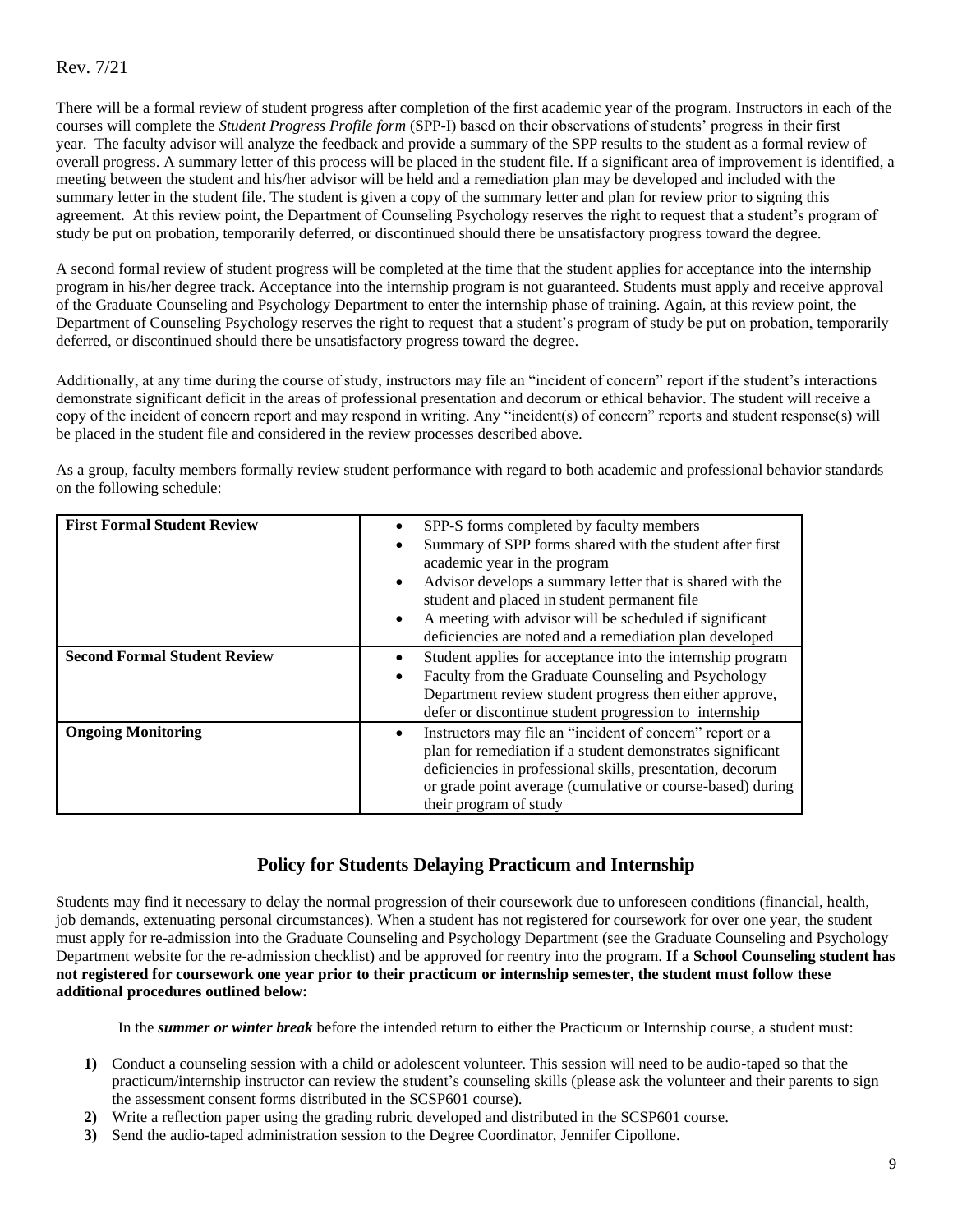There will be a formal review of student progress after completion of the first academic year of the program. Instructors in each of the courses will complete the *Student Progress Profile form* (SPP-I) based on their observations of students' progress in their first year. The faculty advisor will analyze the feedback and provide a summary of the SPP results to the student as a formal review of overall progress. A summary letter of this process will be placed in the student file. If a significant area of improvement is identified, a meeting between the student and his/her advisor will be held and a remediation plan may be developed and included with the summary letter in the student file. The student is given a copy of the summary letter and plan for review prior to signing this agreement. At this review point, the Department of Counseling Psychology reserves the right to request that a student's program of study be put on probation, temporarily deferred, or discontinued should there be unsatisfactory progress toward the degree.

A second formal review of student progress will be completed at the time that the student applies for acceptance into the internship program in his/her degree track. Acceptance into the internship program is not guaranteed. Students must apply and receive approval of the Graduate Counseling and Psychology Department to enter the internship phase of training. Again, at this review point, the Department of Counseling Psychology reserves the right to request that a student's program of study be put on probation, temporarily deferred, or discontinued should there be unsatisfactory progress toward the degree.

Additionally, at any time during the course of study, instructors may file an "incident of concern" report if the student's interactions demonstrate significant deficit in the areas of professional presentation and decorum or ethical behavior. The student will receive a copy of the incident of concern report and may respond in writing. Any "incident(s) of concern" reports and student response(s) will be placed in the student file and considered in the review processes described above.

As a group, faculty members formally review student performance with regard to both academic and professional behavior standards on the following schedule:

| <b>First Formal Student Review</b>  | SPP-S forms completed by faculty members<br>٠                          |
|-------------------------------------|------------------------------------------------------------------------|
|                                     | Summary of SPP forms shared with the student after first               |
|                                     | academic year in the program                                           |
|                                     | Advisor develops a summary letter that is shared with the<br>٠         |
|                                     | student and placed in student permanent file                           |
|                                     | A meeting with advisor will be scheduled if significant<br>٠           |
|                                     | deficiencies are noted and a remediation plan developed                |
| <b>Second Formal Student Review</b> | Student applies for acceptance into the internship program             |
|                                     | Faculty from the Graduate Counseling and Psychology<br>٠               |
|                                     | Department review student progress then either approve,                |
|                                     | defer or discontinue student progression to internship                 |
| <b>Ongoing Monitoring</b>           | Instructors may file an "incident of concern" report or a<br>$\bullet$ |
|                                     | plan for remediation if a student demonstrates significant             |
|                                     | deficiencies in professional skills, presentation, decorum             |
|                                     | or grade point average (cumulative or course-based) during             |
|                                     | their program of study                                                 |

## **Policy for Students Delaying Practicum and Internship**

<span id="page-8-0"></span>Students may find it necessary to delay the normal progression of their coursework due to unforeseen conditions (financial, health, job demands, extenuating personal circumstances). When a student has not registered for coursework for over one year, the student must apply for re-admission into the Graduate Counseling and Psychology Department (see the Graduate Counseling and Psychology Department website for the re-admission checklist) and be approved for reentry into the program. **If a School Counseling student has not registered for coursework one year prior to their practicum or internship semester, the student must follow these additional procedures outlined below:**

In the *summer or winter break* before the intended return to either the Practicum or Internship course, a student must:

- **1)** Conduct a counseling session with a child or adolescent volunteer. This session will need to be audio-taped so that the practicum/internship instructor can review the student's counseling skills (please ask the volunteer and their parents to sign the assessment consent forms distributed in the SCSP601 course).
- **2)** Write a reflection paper using the grading rubric developed and distributed in the SCSP601 course.
- **3)** Send the audio-taped administration session to the Degree Coordinator, Jennifer Cipollone.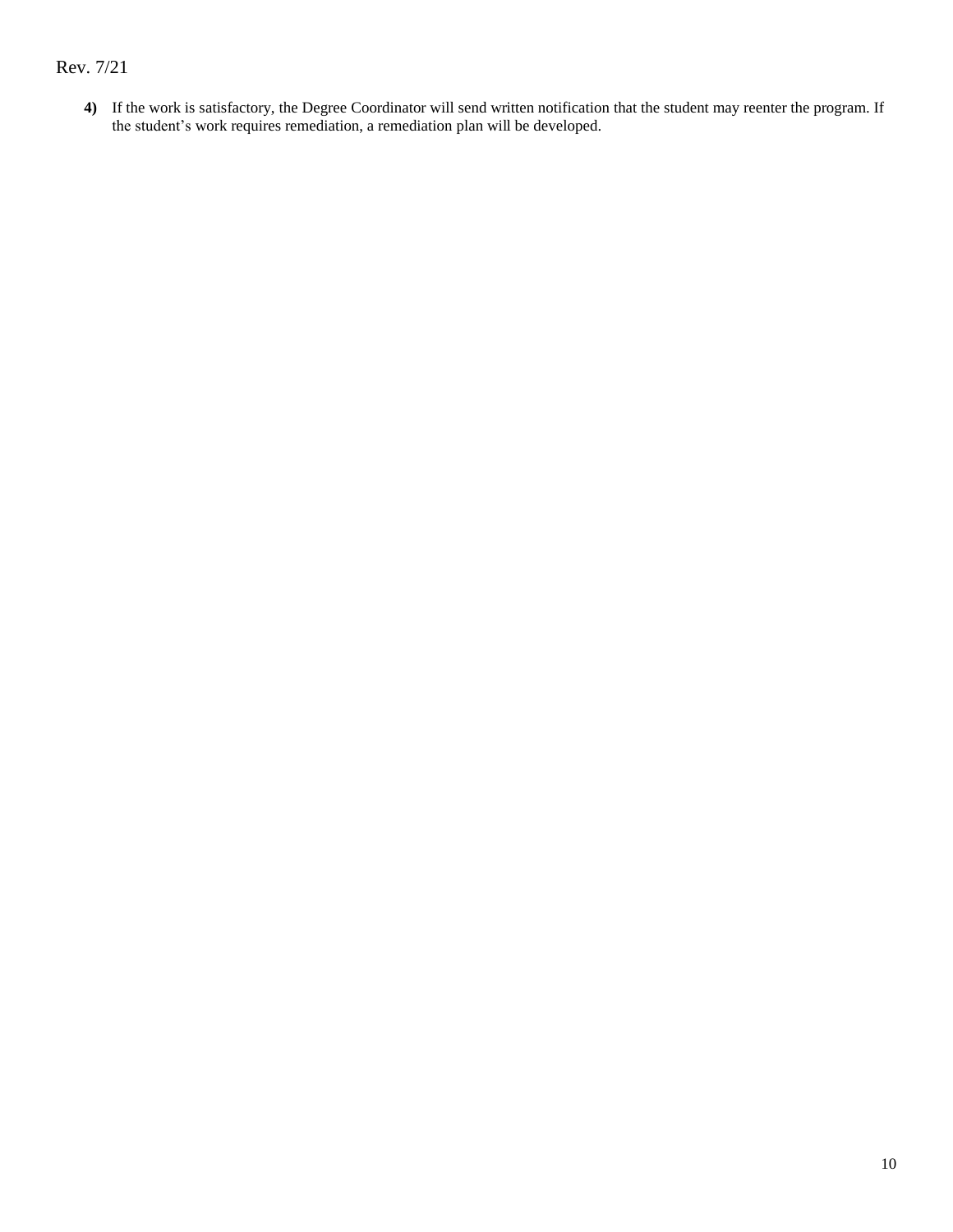**4)** If the work is satisfactory, the Degree Coordinator will send written notification that the student may reenter the program. If the student's work requires remediation, a remediation plan will be developed.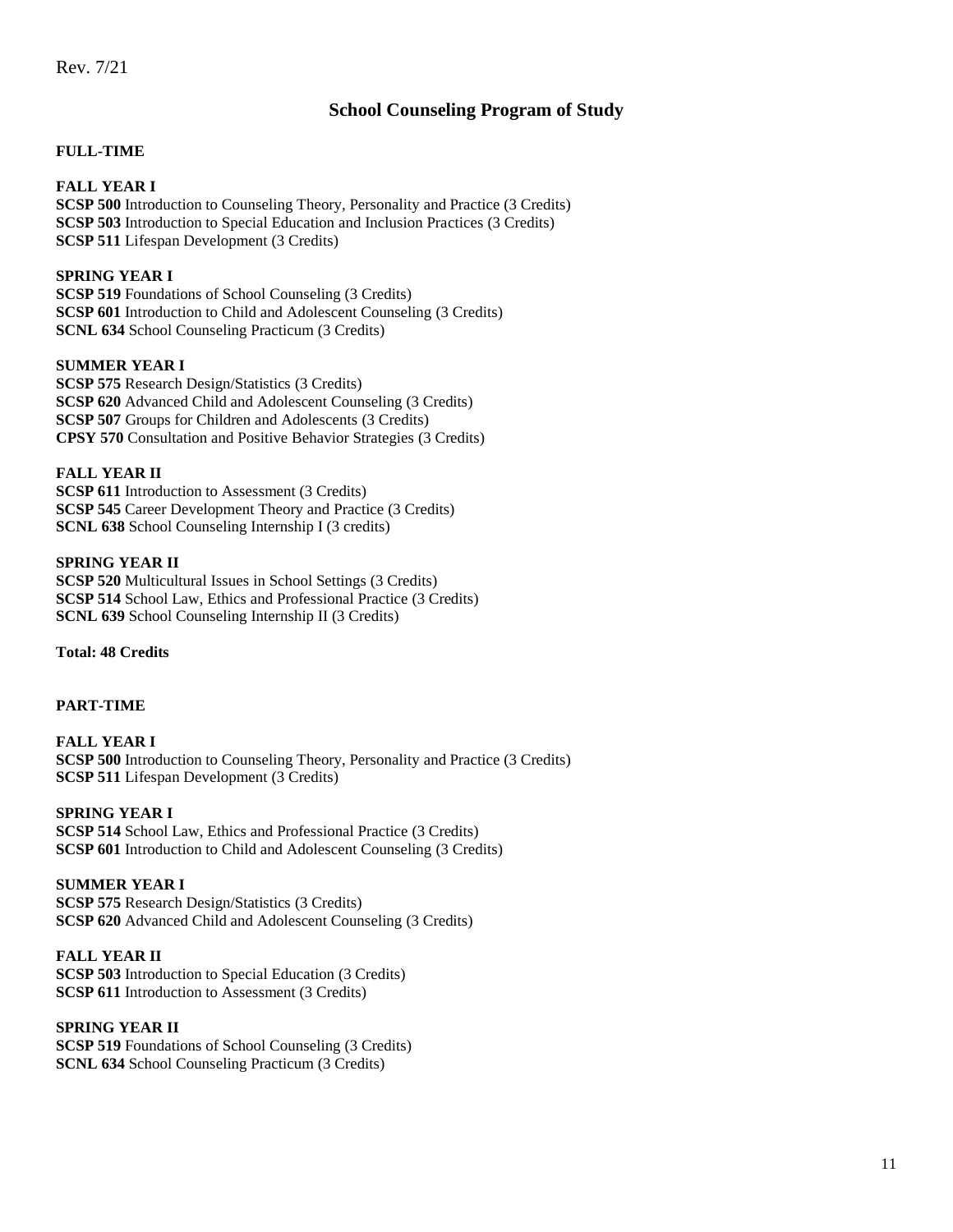## **School Counseling Program of Study**

#### <span id="page-10-1"></span><span id="page-10-0"></span>**FULL-TIME**

**FALL YEAR I SCSP 500** Introduction to Counseling Theory, Personality and Practice (3 Credits) **SCSP 503** Introduction to Special Education and Inclusion Practices (3 Credits) **SCSP 511** Lifespan Development (3 Credits)

### **SPRING YEAR I**

**SCSP 519** Foundations of School Counseling (3 Credits) **SCSP 601** Introduction to Child and Adolescent Counseling (3 Credits) **SCNL 634** School Counseling Practicum (3 Credits)

### **SUMMER YEAR I**

**SCSP 575** Research Design/Statistics (3 Credits) **SCSP 620** Advanced Child and Adolescent Counseling (3 Credits) **SCSP 507** Groups for Children and Adolescents (3 Credits) **CPSY 570** Consultation and Positive Behavior Strategies (3 Credits)

#### **FALL YEAR II**

**SCSP 611** Introduction to Assessment (3 Credits) **SCSP 545** Career Development Theory and Practice (3 Credits) **SCNL 638** School Counseling Internship I (3 credits)

#### **SPRING YEAR II**

**SCSP 520** Multicultural Issues in School Settings (3 Credits) **SCSP 514** School Law, Ethics and Professional Practice (3 Credits) **SCNL 639** School Counseling Internship II (3 Credits)

**Total: 48 Credits**

### <span id="page-10-2"></span>**PART-TIME**

**FALL YEAR I SCSP 500** Introduction to Counseling Theory, Personality and Practice (3 Credits) **SCSP 511** Lifespan Development (3 Credits)

### **SPRING YEAR I**

**SCSP 514** School Law, Ethics and Professional Practice (3 Credits) **SCSP 601** Introduction to Child and Adolescent Counseling (3 Credits)

### **SUMMER YEAR I**

**SCSP 575** Research Design/Statistics (3 Credits) **SCSP 620** Advanced Child and Adolescent Counseling (3 Credits)

#### **FALL YEAR II SCSP 503** Introduction to Special Education (3 Credits) **SCSP 611** Introduction to Assessment (3 Credits)

#### **SPRING YEAR II**

**SCSP 519** Foundations of School Counseling (3 Credits) **SCNL 634** School Counseling Practicum (3 Credits)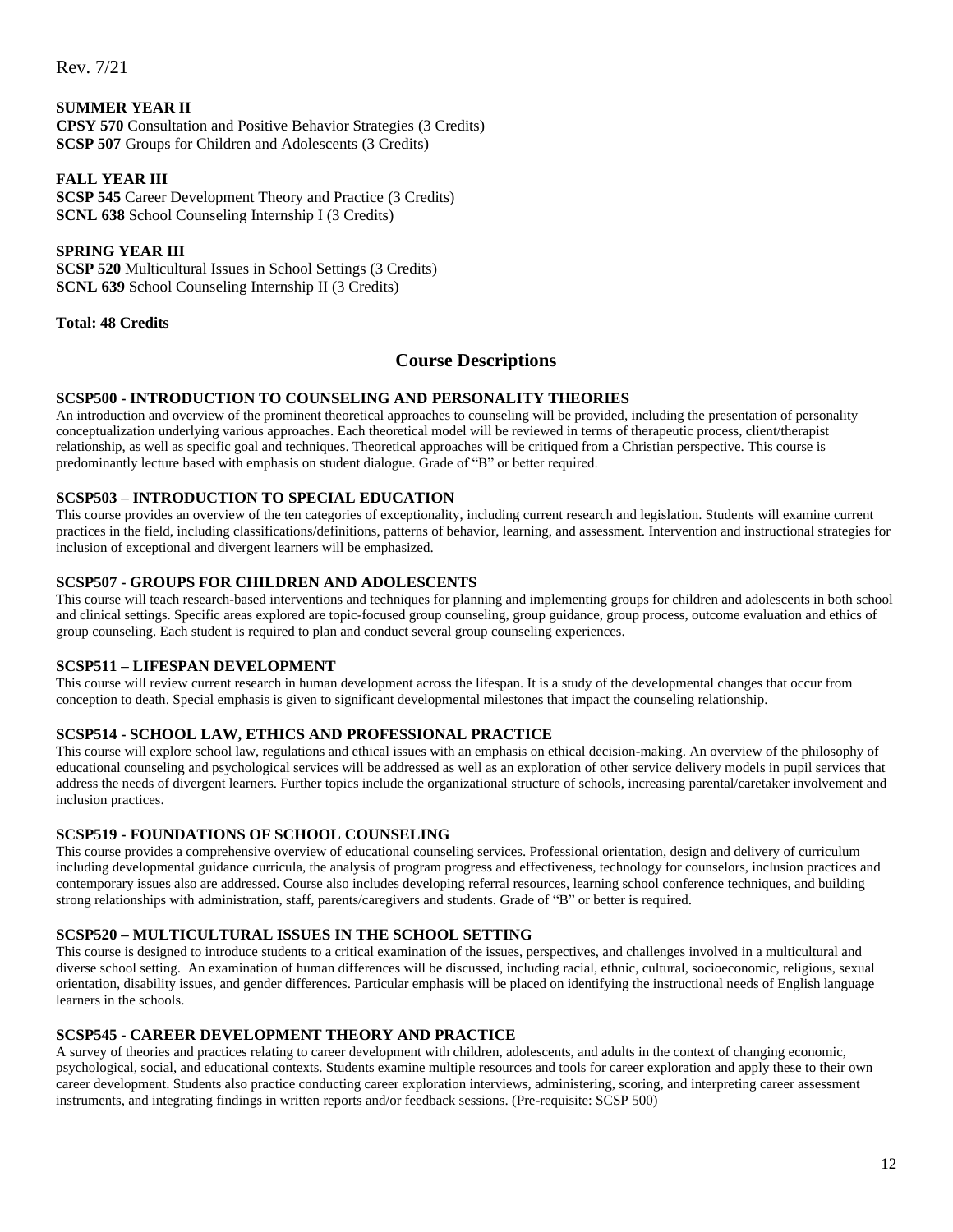#### **SUMMER YEAR II**

**CPSY 570** Consultation and Positive Behavior Strategies (3 Credits) **SCSP 507** Groups for Children and Adolescents (3 Credits)

### **FALL YEAR III**

**SCSP 545** Career Development Theory and Practice (3 Credits) **SCNL 638** School Counseling Internship I (3 Credits)

#### **SPRING YEAR III**

**SCSP 520** Multicultural Issues in School Settings (3 Credits) **SCNL 639** School Counseling Internship II (3 Credits)

<span id="page-11-0"></span>**Total: 48 Credits**

### **Course Descriptions**

#### **SCSP500 - INTRODUCTION TO COUNSELING AND PERSONALITY THEORIES**

An introduction and overview of the prominent theoretical approaches to counseling will be provided, including the presentation of personality conceptualization underlying various approaches. Each theoretical model will be reviewed in terms of therapeutic process, client/therapist relationship, as well as specific goal and techniques. Theoretical approaches will be critiqued from a Christian perspective. This course is predominantly lecture based with emphasis on student dialogue. Grade of "B" or better required.

#### **SCSP503 – INTRODUCTION TO SPECIAL EDUCATION**

This course provides an overview of the ten categories of exceptionality, including current research and legislation. Students will examine current practices in the field, including classifications/definitions, patterns of behavior, learning, and assessment. Intervention and instructional strategies for inclusion of exceptional and divergent learners will be emphasized.

#### **SCSP507 - GROUPS FOR CHILDREN AND ADOLESCENTS**

This course will teach research-based interventions and techniques for planning and implementing groups for children and adolescents in both school and clinical settings. Specific areas explored are topic-focused group counseling, group guidance, group process, outcome evaluation and ethics of group counseling. Each student is required to plan and conduct several group counseling experiences.

#### **SCSP511 – LIFESPAN DEVELOPMENT**

This course will review current research in human development across the lifespan. It is a study of the developmental changes that occur from conception to death. Special emphasis is given to significant developmental milestones that impact the counseling relationship.

#### **SCSP514 - SCHOOL LAW, ETHICS AND PROFESSIONAL PRACTICE**

This course will explore school law, regulations and ethical issues with an emphasis on ethical decision-making. An overview of the philosophy of educational counseling and psychological services will be addressed as well as an exploration of other service delivery models in pupil services that address the needs of divergent learners. Further topics include the organizational structure of schools, increasing parental/caretaker involvement and inclusion practices.

#### **SCSP519 - FOUNDATIONS OF SCHOOL COUNSELING**

This course provides a comprehensive overview of educational counseling services. Professional orientation, design and delivery of curriculum including developmental guidance curricula, the analysis of program progress and effectiveness, technology for counselors, inclusion practices and contemporary issues also are addressed. Course also includes developing referral resources, learning school conference techniques, and building strong relationships with administration, staff, parents/caregivers and students. Grade of "B" or better is required.

#### **SCSP520 – MULTICULTURAL ISSUES IN THE SCHOOL SETTING**

This course is designed to introduce students to a critical examination of the issues, perspectives, and challenges involved in a multicultural and diverse school setting. An examination of human differences will be discussed, including racial, ethnic, cultural, socioeconomic, religious, sexual orientation, disability issues, and gender differences. Particular emphasis will be placed on identifying the instructional needs of English language learners in the schools.

#### **SCSP545 - CAREER DEVELOPMENT THEORY AND PRACTICE**

A survey of theories and practices relating to career development with children, adolescents, and adults in the context of changing economic, psychological, social, and educational contexts. Students examine multiple resources and tools for career exploration and apply these to their own career development. Students also practice conducting career exploration interviews, administering, scoring, and interpreting career assessment instruments, and integrating findings in written reports and/or feedback sessions. (Pre-requisite: SCSP 500)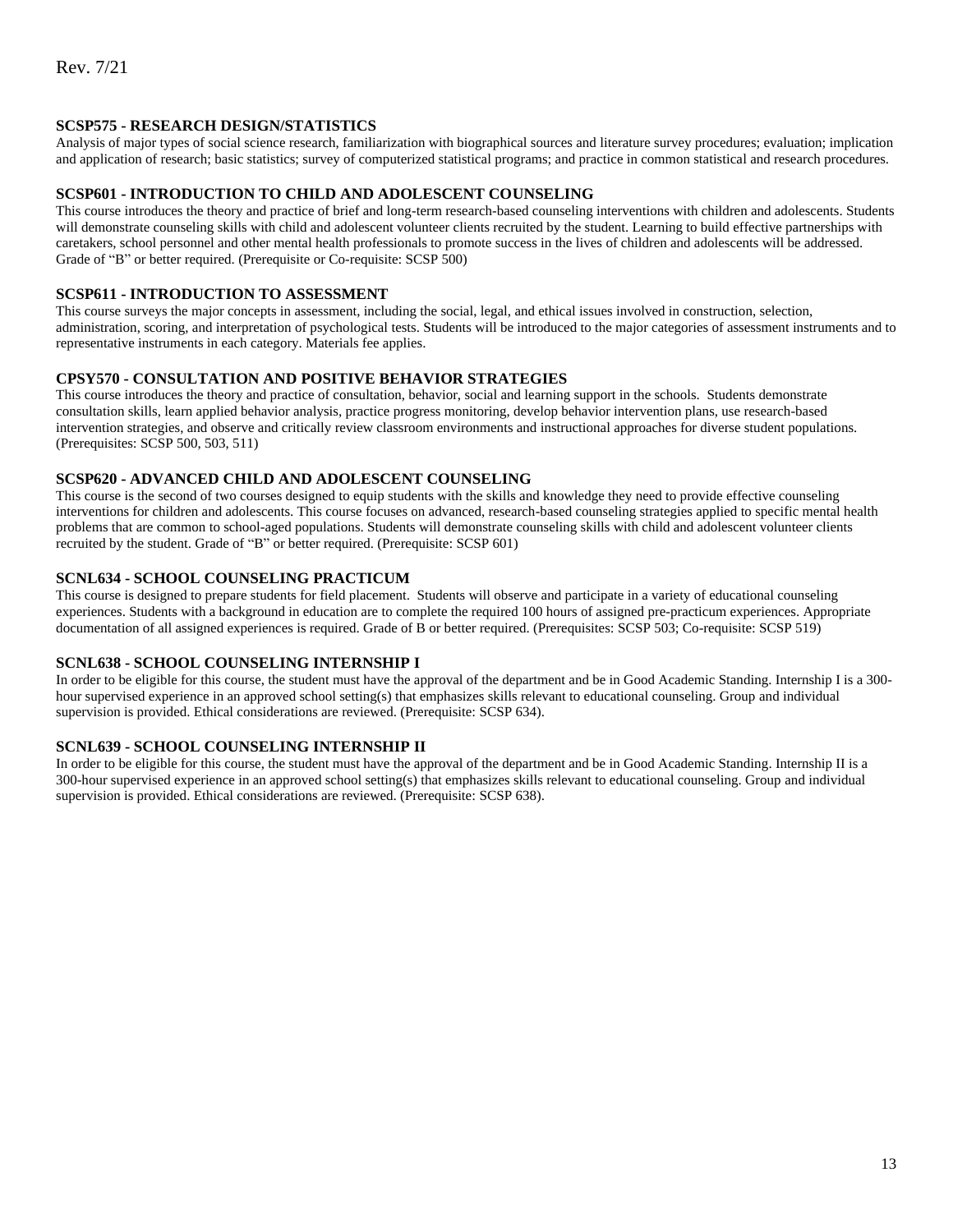#### **SCSP575 - RESEARCH DESIGN/STATISTICS**

Analysis of major types of social science research, familiarization with biographical sources and literature survey procedures; evaluation; implication and application of research; basic statistics; survey of computerized statistical programs; and practice in common statistical and research procedures.

#### **SCSP601 - INTRODUCTION TO CHILD AND ADOLESCENT COUNSELING**

This course introduces the theory and practice of brief and long-term research-based counseling interventions with children and adolescents. Students will demonstrate counseling skills with child and adolescent volunteer clients recruited by the student. Learning to build effective partnerships with caretakers, school personnel and other mental health professionals to promote success in the lives of children and adolescents will be addressed. Grade of "B" or better required. (Prerequisite or Co-requisite: SCSP 500)

#### **SCSP611 - INTRODUCTION TO ASSESSMENT**

This course surveys the major concepts in assessment, including the social, legal, and ethical issues involved in construction, selection, administration, scoring, and interpretation of psychological tests. Students will be introduced to the major categories of assessment instruments and to representative instruments in each category. Materials fee applies.

#### **CPSY570 - CONSULTATION AND POSITIVE BEHAVIOR STRATEGIES**

This course introduces the theory and practice of consultation, behavior, social and learning support in the schools. Students demonstrate consultation skills, learn applied behavior analysis, practice progress monitoring, develop behavior intervention plans, use research-based intervention strategies, and observe and critically review classroom environments and instructional approaches for diverse student populations. (Prerequisites: SCSP 500, 503, 511)

#### **SCSP620 - ADVANCED CHILD AND ADOLESCENT COUNSELING**

This course is the second of two courses designed to equip students with the skills and knowledge they need to provide effective counseling interventions for children and adolescents. This course focuses on advanced, research-based counseling strategies applied to specific mental health problems that are common to school-aged populations. Students will demonstrate counseling skills with child and adolescent volunteer clients recruited by the student. Grade of "B" or better required. (Prerequisite: SCSP 601)

#### **SCNL634 - SCHOOL COUNSELING PRACTICUM**

This course is designed to prepare students for field placement. Students will observe and participate in a variety of educational counseling experiences. Students with a background in education are to complete the required 100 hours of assigned pre-practicum experiences. Appropriate documentation of all assigned experiences is required. Grade of B or better required. (Prerequisites: SCSP 503; Co-requisite: SCSP 519)

#### **SCNL638 - SCHOOL COUNSELING INTERNSHIP I**

In order to be eligible for this course, the student must have the approval of the department and be in Good Academic Standing. Internship I is a 300 hour supervised experience in an approved school setting(s) that emphasizes skills relevant to educational counseling. Group and individual supervision is provided. Ethical considerations are reviewed. (Prerequisite: SCSP 634).

#### **SCNL639 - SCHOOL COUNSELING INTERNSHIP II**

In order to be eligible for this course, the student must have the approval of the department and be in Good Academic Standing. Internship II is a 300-hour supervised experience in an approved school setting(s) that emphasizes skills relevant to educational counseling. Group and individual supervision is provided. Ethical considerations are reviewed. (Prerequisite: SCSP 638).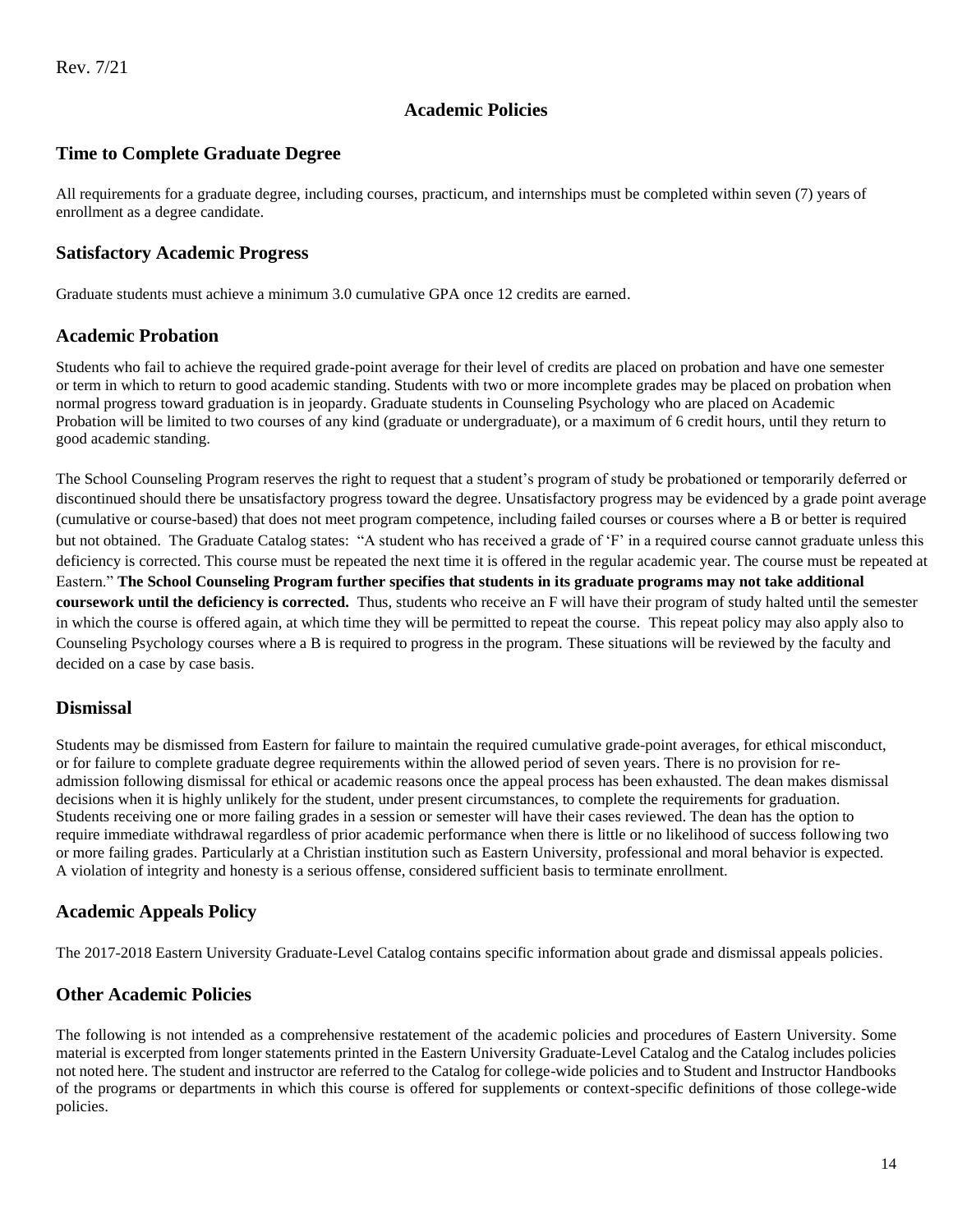## **Academic Policies**

## <span id="page-13-1"></span><span id="page-13-0"></span>**Time to Complete Graduate Degree**

All requirements for a graduate degree, including courses, practicum, and internships must be completed within seven (7) years of enrollment as a degree candidate.

### <span id="page-13-2"></span>**Satisfactory Academic Progress**

Graduate students must achieve a minimum 3.0 cumulative GPA once 12 credits are earned.

### <span id="page-13-3"></span>**Academic Probation**

Students who fail to achieve the required grade-point average for their level of credits are placed on probation and have one semester or term in which to return to good academic standing. Students with two or more incomplete grades may be placed on probation when normal progress toward graduation is in jeopardy. Graduate students in Counseling Psychology who are placed on Academic Probation will be limited to two courses of any kind (graduate or undergraduate), or a maximum of 6 credit hours, until they return to good academic standing.

The School Counseling Program reserves the right to request that a student's program of study be probationed or temporarily deferred or discontinued should there be unsatisfactory progress toward the degree. Unsatisfactory progress may be evidenced by a grade point average (cumulative or course-based) that does not meet program competence, including failed courses or courses where a B or better is required but not obtained. The Graduate Catalog states: "A student who has received a grade of 'F' in a required course cannot graduate unless this deficiency is corrected. This course must be repeated the next time it is offered in the regular academic year. The course must be repeated at Eastern." **The School Counseling Program further specifies that students in its graduate programs may not take additional coursework until the deficiency is corrected.** Thus, students who receive an F will have their program of study halted until the semester in which the course is offered again, at which time they will be permitted to repeat the course. This repeat policy may also apply also to Counseling Psychology courses where a B is required to progress in the program. These situations will be reviewed by the faculty and decided on a case by case basis.

## <span id="page-13-4"></span>**Dismissal**

Students may be dismissed from Eastern for failure to maintain the required cumulative grade-point averages, for ethical misconduct, or for failure to complete graduate degree requirements within the allowed period of seven years. There is no provision for readmission following dismissal for ethical or academic reasons once the appeal process has been exhausted. The dean makes dismissal decisions when it is highly unlikely for the student, under present circumstances, to complete the requirements for graduation. Students receiving one or more failing grades in a session or semester will have their cases reviewed. The dean has the option to require immediate withdrawal regardless of prior academic performance when there is little or no likelihood of success following two or more failing grades. Particularly at a Christian institution such as Eastern University, professional and moral behavior is expected. A violation of integrity and honesty is a serious offense, considered sufficient basis to terminate enrollment.

## <span id="page-13-5"></span>**Academic Appeals Policy**

The 2017-2018 Eastern University Graduate-Level Catalog contains specific information about grade and dismissal appeals policies.

## <span id="page-13-6"></span>**Other Academic Policies**

The following is not intended as a comprehensive restatement of the academic policies and procedures of Eastern University. Some material is excerpted from longer statements printed in the Eastern University Graduate-Level Catalog and the Catalog includes policies not noted here. The student and instructor are referred to the Catalog for college-wide policies and to Student and Instructor Handbooks of the programs or departments in which this course is offered for supplements or context-specific definitions of those college-wide policies.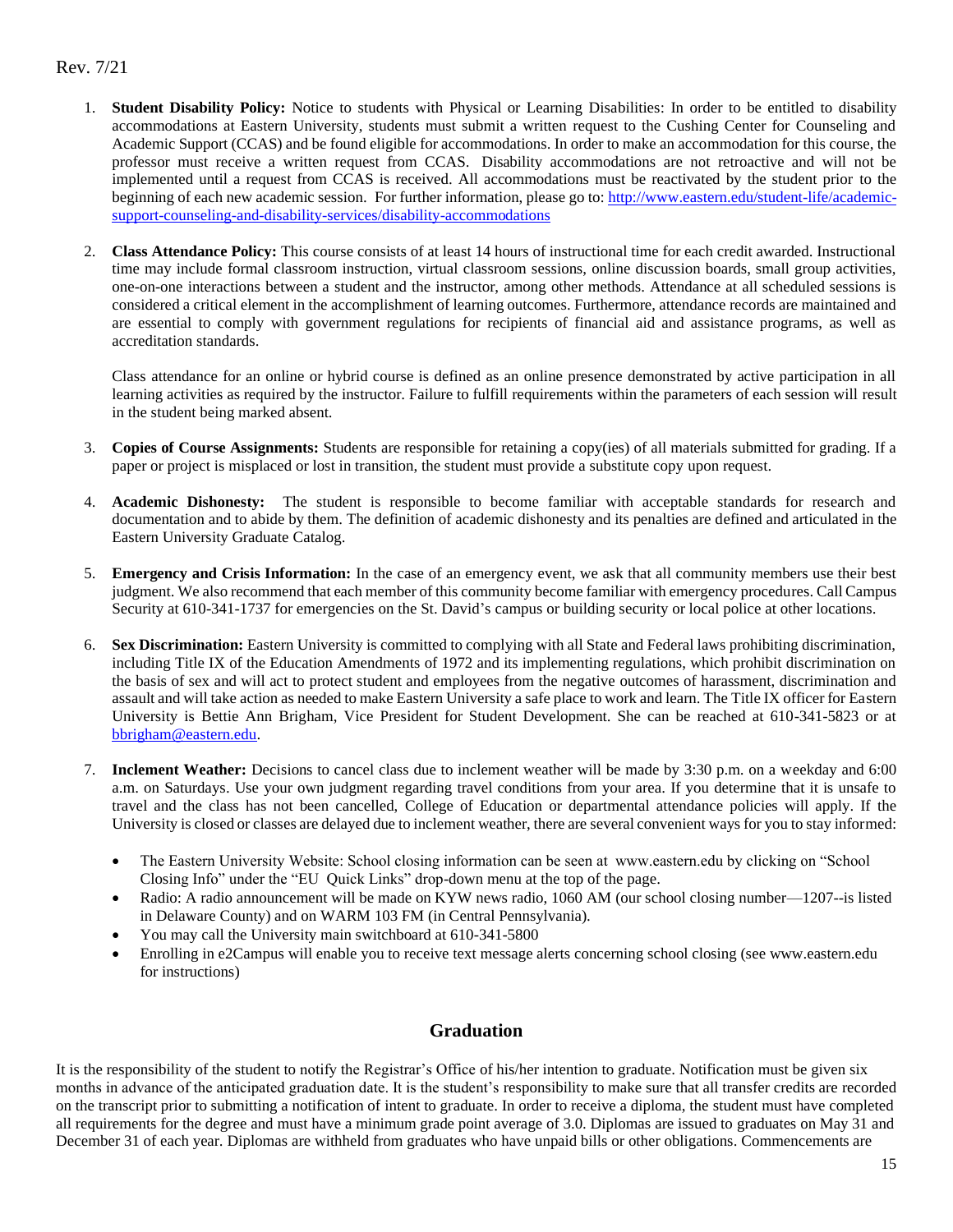- 1. **Student Disability Policy:** Notice to students with Physical or Learning Disabilities: In order to be entitled to disability accommodations at Eastern University, students must submit a written request to the Cushing Center for Counseling and Academic Support (CCAS) and be found eligible for accommodations. In order to make an accommodation for this course, the professor must receive a written request from CCAS. Disability accommodations are not retroactive and will not be implemented until a request from CCAS is received. All accommodations must be reactivated by the student prior to the beginning of each new academic session. For further information, please go to: [http://www.eastern.edu/student-life/academic](http://www.eastern.edu/student-life/academic-support-counseling-and-disability-services/disability-accommodations)[support-counseling-and-disability-services/disability-accommodations](http://www.eastern.edu/student-life/academic-support-counseling-and-disability-services/disability-accommodations)
- 2. **Class Attendance Policy:** This course consists of at least 14 hours of instructional time for each credit awarded. Instructional time may include formal classroom instruction, virtual classroom sessions, online discussion boards, small group activities, one-on-one interactions between a student and the instructor, among other methods. Attendance at all scheduled sessions is considered a critical element in the accomplishment of learning outcomes. Furthermore, attendance records are maintained and are essential to comply with government regulations for recipients of financial aid and assistance programs, as well as accreditation standards.

Class attendance for an online or hybrid course is defined as an online presence demonstrated by active participation in all learning activities as required by the instructor. Failure to fulfill requirements within the parameters of each session will result in the student being marked absent.

- 3. **Copies of Course Assignments:** Students are responsible for retaining a copy(ies) of all materials submitted for grading. If a paper or project is misplaced or lost in transition, the student must provide a substitute copy upon request.
- 4. **Academic Dishonesty:** The student is responsible to become familiar with acceptable standards for research and documentation and to abide by them. The definition of academic dishonesty and its penalties are defined and articulated in the Eastern University Graduate Catalog.
- 5. **Emergency and Crisis Information:** In the case of an emergency event, we ask that all community members use their best judgment. We also recommend that each member of this community become familiar with emergency procedures. Call Campus Security at 610-341-1737 for emergencies on the St. David's campus or building security or local police at other locations.
- **Sex Discrimination:** Eastern University is committed to complying with all State and Federal laws prohibiting discrimination, including Title IX of the Education Amendments of 1972 and its implementing regulations, which prohibit discrimination on the basis of sex and will act to protect student and employees from the negative outcomes of harassment, discrimination and assault and will take action as needed to make Eastern University a safe place to work and learn. The Title IX officer for Eastern University is Bettie Ann Brigham, Vice President for Student Development. She can be reached at 610-341-5823 or at [bbrigham@eastern.edu.](mailto:bbrigham@eastern.edu)
- 7. **Inclement Weather:** Decisions to cancel class due to inclement weather will be made by 3:30 p.m. on a weekday and 6:00 a.m. on Saturdays. Use your own judgment regarding travel conditions from your area. If you determine that it is unsafe to travel and the class has not been cancelled, College of Education or departmental attendance policies will apply. If the University is closed or classes are delayed due to inclement weather, there are several convenient ways for you to stay informed:
	- The Eastern University Website: School closing information can be seen at www.eastern.edu by clicking on "School Closing Info" under the "EU Quick Links" drop-down menu at the top of the page.
	- Radio: A radio announcement will be made on KYW news radio, 1060 AM (our school closing number—1207--is listed in Delaware County) and on WARM 103 FM (in Central Pennsylvania).
	- You may call the University main switchboard at 610-341-5800
	- Enrolling in e2Campus will enable you to receive text message alerts concerning school closing (see www.eastern.edu for instructions)

### **Graduation**

It is the responsibility of the student to notify the Registrar's Office of his/her intention to graduate. Notification must be given six months in advance of the anticipated graduation date. It is the student's responsibility to make sure that all transfer credits are recorded on the transcript prior to submitting a notification of intent to graduate. In order to receive a diploma, the student must have completed all requirements for the degree and must have a minimum grade point average of 3.0. Diplomas are issued to graduates on May 31 and December 31 of each year. Diplomas are withheld from graduates who have unpaid bills or other obligations. Commencements are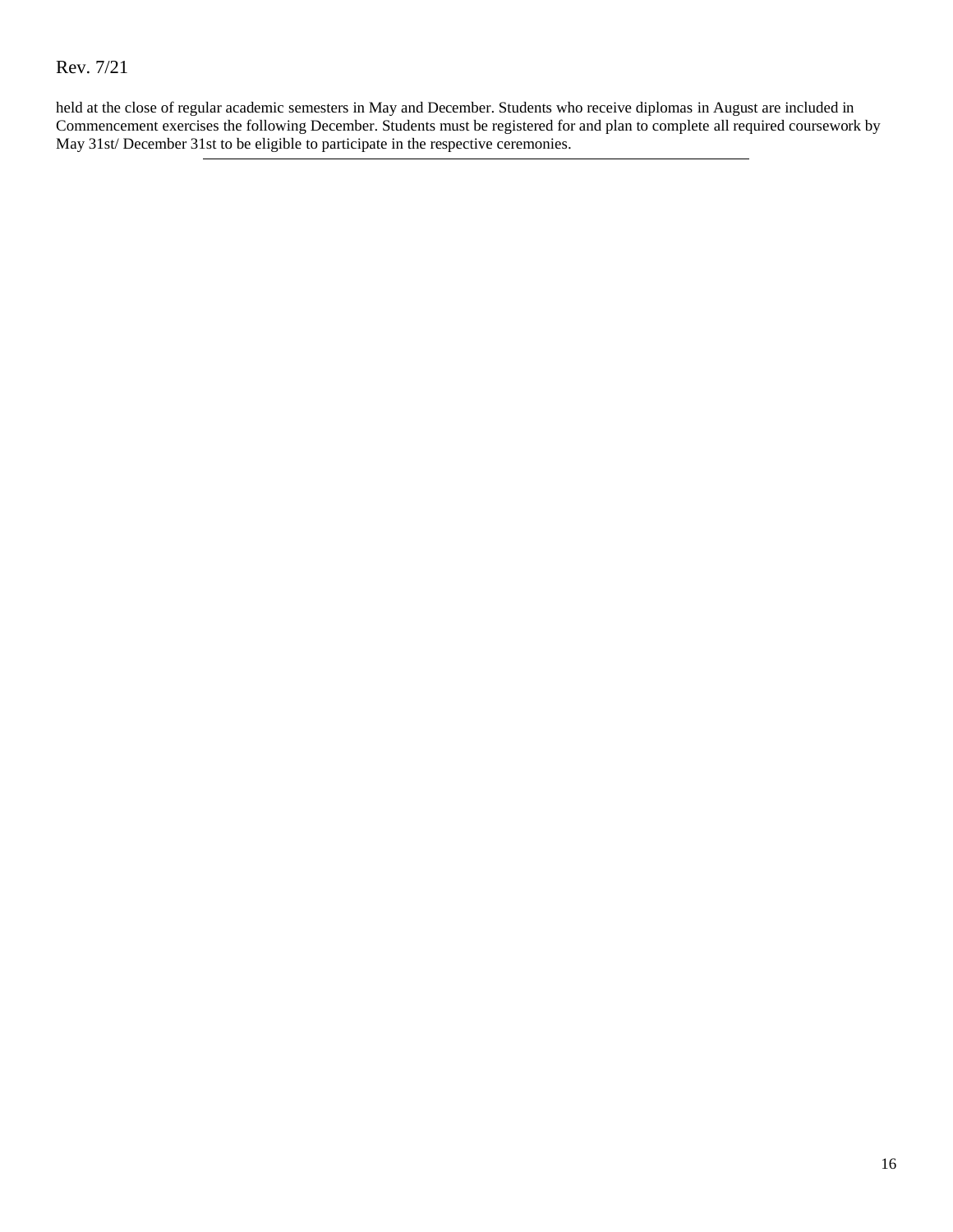held at the close of regular academic semesters in May and December. Students who receive diplomas in August are included in Commencement exercises the following December. Students must be registered for and plan to complete all required coursework by May 31st/ December 31st to be eligible to participate in the respective ceremonies.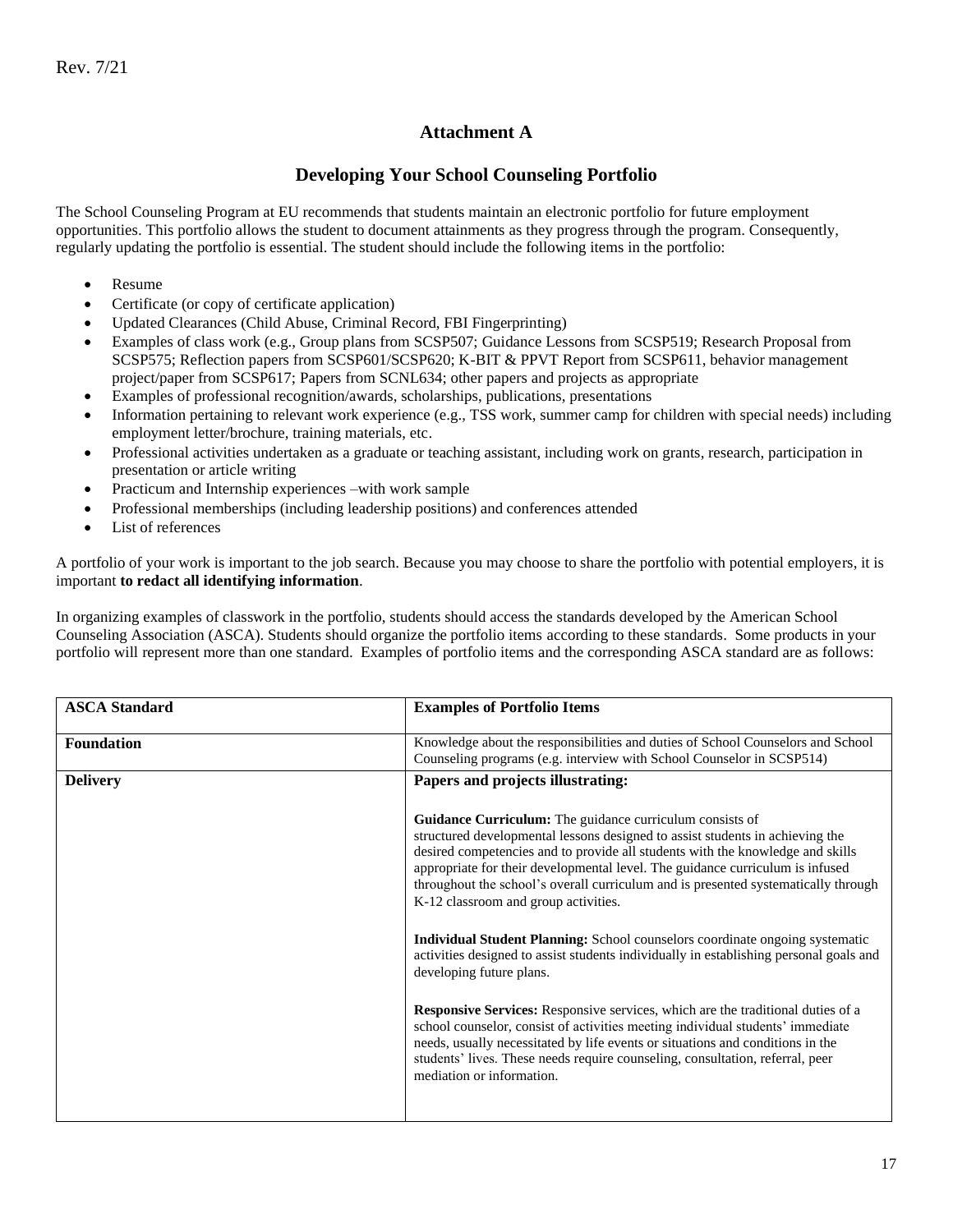## **Attachment A**

## **Developing Your School Counseling Portfolio**

The School Counseling Program at EU recommends that students maintain an electronic portfolio for future employment opportunities. This portfolio allows the student to document attainments as they progress through the program. Consequently, regularly updating the portfolio is essential. The student should include the following items in the portfolio:

- Resume
- Certificate (or copy of certificate application)
- Updated Clearances (Child Abuse, Criminal Record, FBI Fingerprinting)
- Examples of class work (e.g., Group plans from SCSP507; Guidance Lessons from SCSP519; Research Proposal from SCSP575; Reflection papers from SCSP601/SCSP620; K-BIT & PPVT Report from SCSP611, behavior management project/paper from SCSP617; Papers from SCNL634; other papers and projects as appropriate
- Examples of professional recognition/awards, scholarships, publications, presentations
- Information pertaining to relevant work experience (e.g., TSS work, summer camp for children with special needs) including employment letter/brochure, training materials, etc.
- Professional activities undertaken as a graduate or teaching assistant, including work on grants, research, participation in presentation or article writing
- Practicum and Internship experiences –with work sample
- Professional memberships (including leadership positions) and conferences attended
- List of references

A portfolio of your work is important to the job search. Because you may choose to share the portfolio with potential employers, it is important **to redact all identifying information**.

In organizing examples of classwork in the portfolio, students should access the standards developed by the American School Counseling Association (ASCA). Students should organize the portfolio items according to these standards. Some products in your portfolio will represent more than one standard. Examples of portfolio items and the corresponding ASCA standard are as follows:

| <b>ASCA Standard</b> | <b>Examples of Portfolio Items</b>                                                                                                                                                                                                                                                                                                                                                                                                                |  |
|----------------------|---------------------------------------------------------------------------------------------------------------------------------------------------------------------------------------------------------------------------------------------------------------------------------------------------------------------------------------------------------------------------------------------------------------------------------------------------|--|
| <b>Foundation</b>    | Knowledge about the responsibilities and duties of School Counselors and School<br>Counseling programs (e.g. interview with School Counselor in SCSP514)                                                                                                                                                                                                                                                                                          |  |
| <b>Delivery</b>      | Papers and projects illustrating:                                                                                                                                                                                                                                                                                                                                                                                                                 |  |
|                      | <b>Guidance Curriculum:</b> The guidance curriculum consists of<br>structured developmental lessons designed to assist students in achieving the<br>desired competencies and to provide all students with the knowledge and skills<br>appropriate for their developmental level. The guidance curriculum is infused<br>throughout the school's overall curriculum and is presented systematically through<br>K-12 classroom and group activities. |  |
|                      | <b>Individual Student Planning:</b> School counselors coordinate ongoing systematic<br>activities designed to assist students individually in establishing personal goals and<br>developing future plans.                                                                                                                                                                                                                                         |  |
|                      | Responsive Services: Responsive services, which are the traditional duties of a<br>school counselor, consist of activities meeting individual students' immediate<br>needs, usually necessitated by life events or situations and conditions in the<br>students' lives. These needs require counseling, consultation, referral, peer<br>mediation or information.                                                                                 |  |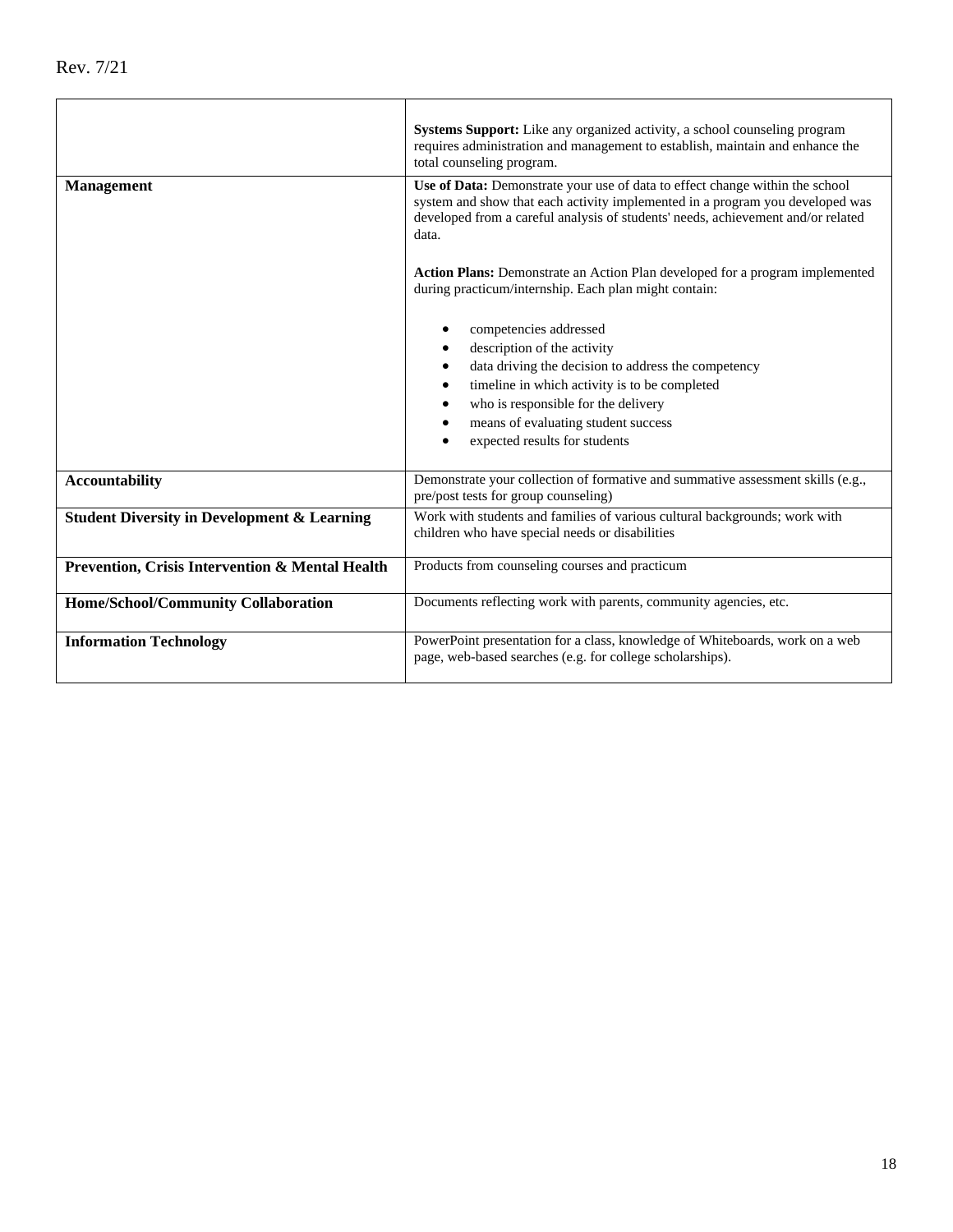|                                                        | Systems Support: Like any organized activity, a school counseling program<br>requires administration and management to establish, maintain and enhance the<br>total counseling program.                                                                                                   |  |  |
|--------------------------------------------------------|-------------------------------------------------------------------------------------------------------------------------------------------------------------------------------------------------------------------------------------------------------------------------------------------|--|--|
| <b>Management</b>                                      | Use of Data: Demonstrate your use of data to effect change within the school<br>system and show that each activity implemented in a program you developed was<br>developed from a careful analysis of students' needs, achievement and/or related<br>data.                                |  |  |
|                                                        | <b>Action Plans:</b> Demonstrate an Action Plan developed for a program implemented<br>during practicum/internship. Each plan might contain:                                                                                                                                              |  |  |
|                                                        | competencies addressed<br>description of the activity<br>data driving the decision to address the competency<br>timeline in which activity is to be completed<br>$\bullet$<br>who is responsible for the delivery<br>means of evaluating student success<br>expected results for students |  |  |
| <b>Accountability</b>                                  | Demonstrate your collection of formative and summative assessment skills (e.g.,<br>pre/post tests for group counseling)                                                                                                                                                                   |  |  |
| <b>Student Diversity in Development &amp; Learning</b> | Work with students and families of various cultural backgrounds; work with<br>children who have special needs or disabilities                                                                                                                                                             |  |  |
| Prevention, Crisis Intervention & Mental Health        | Products from counseling courses and practicum                                                                                                                                                                                                                                            |  |  |
| Home/School/Community Collaboration                    | Documents reflecting work with parents, community agencies, etc.                                                                                                                                                                                                                          |  |  |
| <b>Information Technology</b>                          | PowerPoint presentation for a class, knowledge of Whiteboards, work on a web<br>page, web-based searches (e.g. for college scholarships).                                                                                                                                                 |  |  |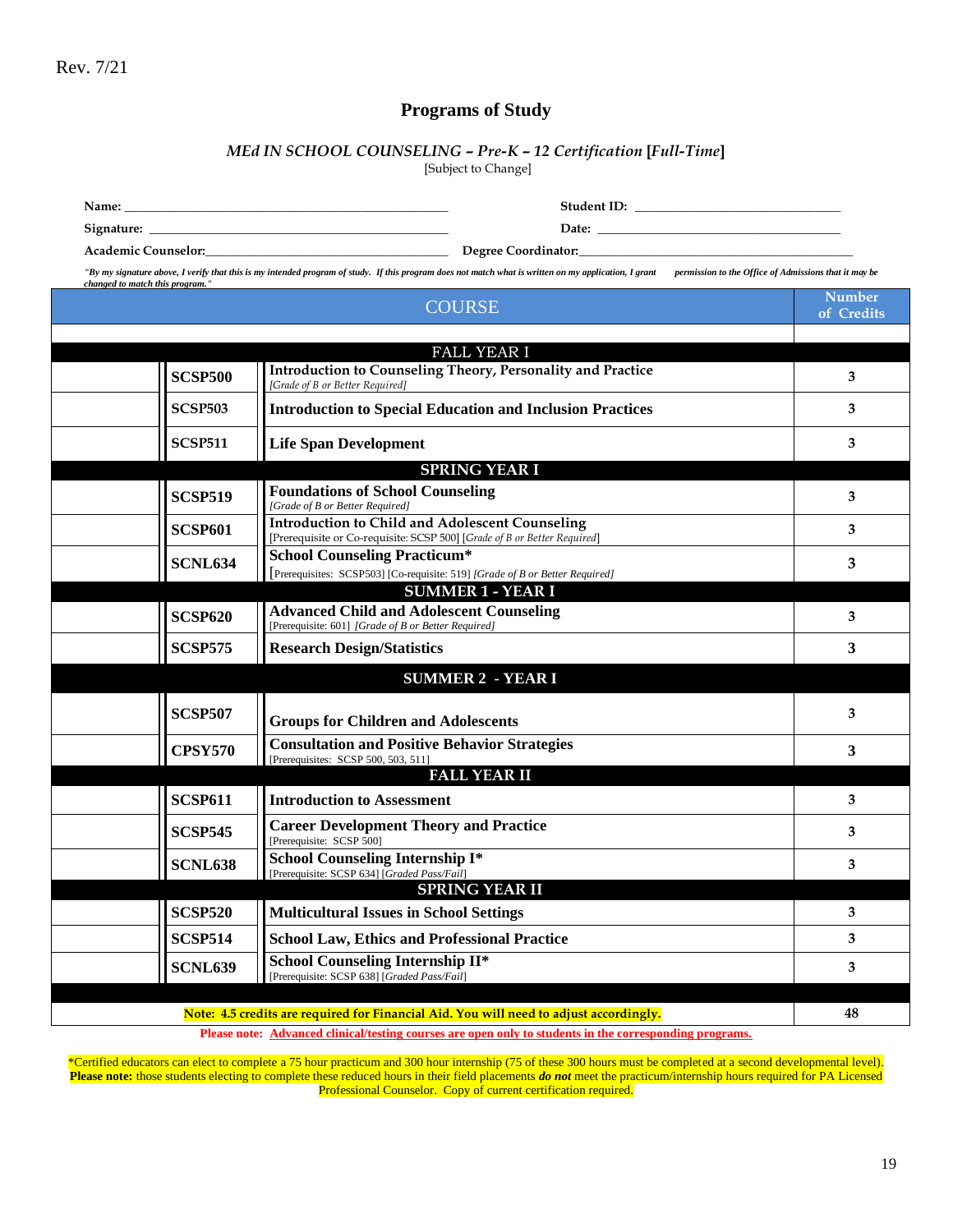## **Programs of Study**

# *MEd IN SCHOOL COUNSELING – Pre-K – 12 Certification* **[***Full-Time***]**

[Subject to Change]

**Signature: \_\_\_\_\_\_\_\_\_\_\_\_\_\_\_\_\_\_\_\_\_\_\_\_\_\_\_\_\_\_\_\_\_\_\_\_\_\_\_\_\_\_\_\_\_\_\_\_ Date: \_\_\_\_\_\_\_\_\_\_\_\_\_\_\_\_\_\_\_\_\_\_\_\_\_\_\_\_\_\_\_\_\_\_\_\_\_\_\_**

**Name: \_\_\_\_\_\_\_\_\_\_\_\_\_\_\_\_\_\_\_\_\_\_\_\_\_\_\_\_\_\_\_\_\_\_\_\_\_\_\_\_\_\_\_\_\_\_\_\_\_\_\_\_ Student ID: \_\_\_\_\_\_\_\_\_\_\_\_\_\_\_\_\_\_\_\_\_\_\_\_\_\_\_\_\_\_\_\_\_**

**Academic Counselor:\_\_\_\_\_\_\_\_\_\_\_\_\_\_\_\_\_\_\_\_\_\_\_\_\_\_\_\_\_\_\_\_\_\_\_\_\_\_\_ Degree Coordinator:\_\_\_\_\_\_\_\_\_\_\_\_\_\_\_\_\_\_\_\_\_\_\_\_\_\_\_\_\_\_\_\_\_\_\_\_\_\_\_\_\_\_\_\_**

*"By my signature above, I verify that this is my intended program of study. If this program does not match what is written on my application, I grant permission to the Office of Admissions that it may be* 

| changed to match this program." |                | <b>COURSE</b>                                                                                                                      | <b>Number</b><br>of Credits |
|---------------------------------|----------------|------------------------------------------------------------------------------------------------------------------------------------|-----------------------------|
|                                 |                |                                                                                                                                    |                             |
|                                 |                | <b>FALL YEAR I</b>                                                                                                                 |                             |
|                                 | <b>SCSP500</b> | Introduction to Counseling Theory, Personality and Practice<br>[Grade of B or Better Required]                                     | 3                           |
|                                 | <b>SCSP503</b> | <b>Introduction to Special Education and Inclusion Practices</b>                                                                   | 3                           |
|                                 | <b>SCSP511</b> | <b>Life Span Development</b>                                                                                                       | 3                           |
|                                 |                | <b>SPRING YEAR I</b>                                                                                                               |                             |
|                                 | <b>SCSP519</b> | <b>Foundations of School Counseling</b>                                                                                            | 3                           |
|                                 |                | [Grade of B or Better Required]                                                                                                    |                             |
|                                 | <b>SCSP601</b> | <b>Introduction to Child and Adolescent Counseling</b><br>[Prerequisite or Co-requisite: SCSP 500] [Grade of B or Better Required] | 3                           |
|                                 |                | <b>School Counseling Practicum*</b>                                                                                                |                             |
|                                 | SCNL634        | [Prerequisites: SCSP503] [Co-requisite: 519] [Grade of B or Better Required]                                                       | 3                           |
|                                 |                | <b>SUMMER 1 - YEAR I</b>                                                                                                           |                             |
|                                 | <b>SCSP620</b> | <b>Advanced Child and Adolescent Counseling</b>                                                                                    | 3                           |
|                                 |                | [Prerequisite: 601] [Grade of B or Better Required]                                                                                |                             |
|                                 | <b>SCSP575</b> | <b>Research Design/Statistics</b>                                                                                                  | 3                           |
|                                 |                | <b>SUMMER 2 - YEAR I</b>                                                                                                           |                             |
|                                 | <b>SCSP507</b> | <b>Groups for Children and Adolescents</b>                                                                                         | 3                           |
|                                 | <b>CPSY570</b> | <b>Consultation and Positive Behavior Strategies</b><br>[Prerequisites: SCSP 500, 503, 511]                                        | 3                           |
|                                 |                | <b>FALL YEAR II</b>                                                                                                                |                             |
|                                 | <b>SCSP611</b> | <b>Introduction to Assessment</b>                                                                                                  | 3                           |
|                                 | <b>SCSP545</b> | <b>Career Development Theory and Practice</b><br>[Prerequisite: SCSP 500]                                                          | 3                           |
|                                 | <b>SCNL638</b> | <b>School Counseling Internship I*</b><br>[Prerequisite: SCSP 634] [Graded Pass/Fail]                                              | 3                           |
|                                 |                | <b>SPRING YEAR II</b>                                                                                                              |                             |
|                                 | <b>SCSP520</b> | <b>Multicultural Issues in School Settings</b>                                                                                     | 3                           |
|                                 | <b>SCSP514</b> | <b>School Law, Ethics and Professional Practice</b>                                                                                | 3                           |
|                                 | <b>SCNL639</b> | School Counseling Internship II*<br>[Prerequisite: SCSP 638] [Graded Pass/Fail]                                                    | 3                           |
|                                 |                |                                                                                                                                    |                             |
|                                 |                | Note: 4.5 credits are required for Financial Aid. You will need to adjust accordingly.                                             | 48                          |
|                                 |                | Please note: Advanced clinical/testing courses are open only to students in the corresponding programs.                            |                             |

\*Certified educators can elect to complete a 75 hour practicum and 300 hour internship (75 of these 300 hours must be completed at a second developmental level). **Please note:** those students electing to complete these reduced hours in their field placements *do not* meet the practicum/internship hours required for PA Licensed Professional Counselor. Copy of current certification required.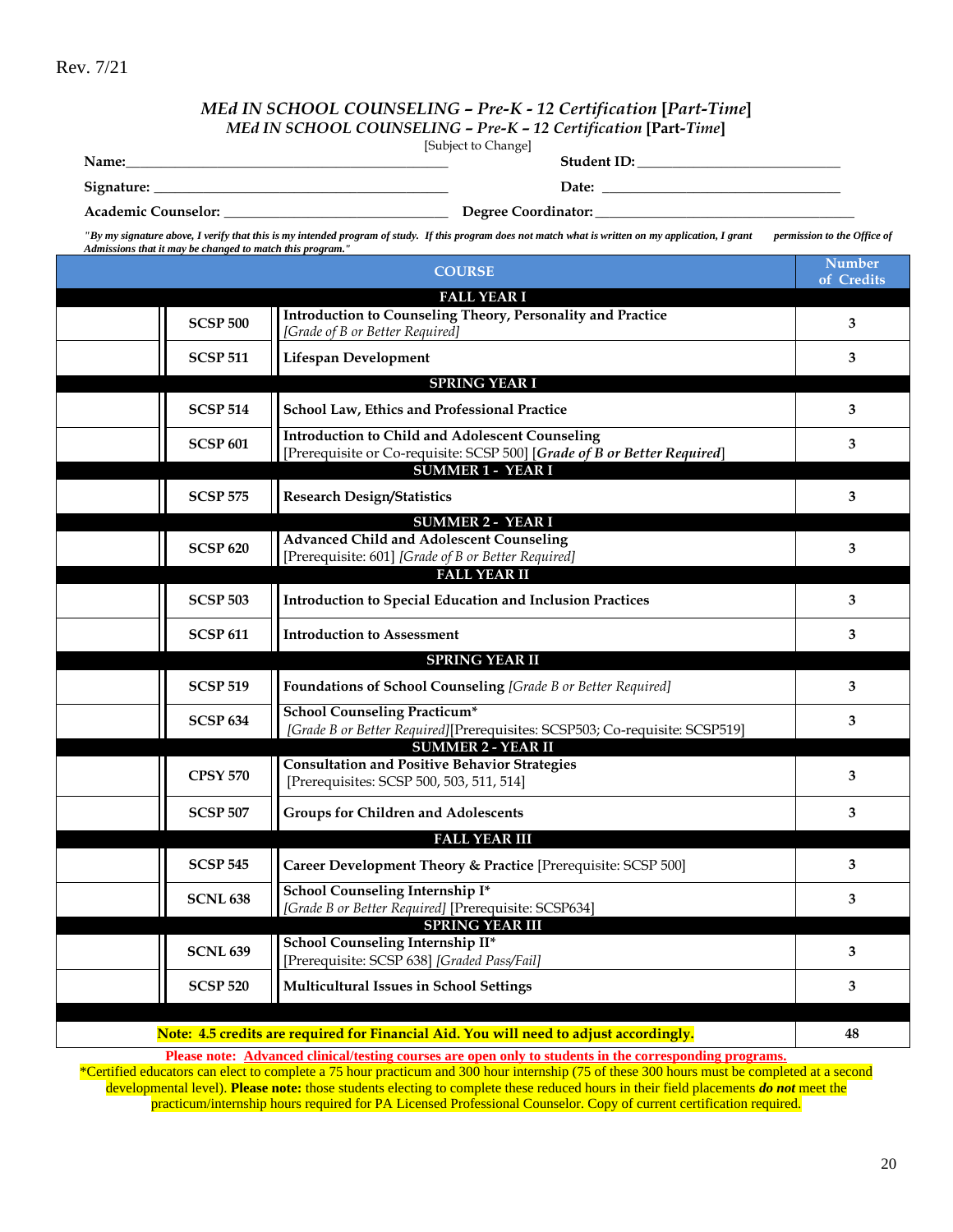### *MEd IN SCHOOL COUNSELING – Pre-K - 12 Certification* **[***Part-Time***]** *MEd IN SCHOOL COUNSELING – Pre-K – 12 Certification* **[Part***-Time***]**

[Subject to Change]

**Name:\_\_\_\_\_\_\_\_\_\_\_\_\_\_\_\_\_\_\_\_\_\_\_\_\_\_\_\_\_\_\_\_\_\_\_\_\_\_\_\_\_\_\_\_\_\_ Student ID: \_\_\_\_\_\_\_\_\_\_\_\_\_\_\_\_\_\_\_\_\_\_\_\_\_\_\_\_\_**

 $\text{Square: } \underline{\hspace{1.5em}}$ 

**Academic Counselor: \_\_\_\_\_\_\_\_\_\_\_\_\_\_\_\_\_\_\_\_\_\_\_\_\_\_\_\_\_\_\_\_ Degree Coordinator: \_\_\_\_\_\_\_\_\_\_\_\_\_\_\_\_\_\_\_\_\_\_\_\_\_\_\_\_\_\_\_\_\_\_\_\_\_**

*"By my signature above, I verify that this is my intended program of study. If this program does not match what is written on my application, I grant permission to the Office of Admissions that it may be changed to match this program."*

|                 | <b>COURSE</b>                                                                                                                                                  | <b>Number</b><br>of Credits |
|-----------------|----------------------------------------------------------------------------------------------------------------------------------------------------------------|-----------------------------|
|                 | <b>FALL YEAR I</b>                                                                                                                                             |                             |
| <b>SCSP 500</b> | Introduction to Counseling Theory, Personality and Practice<br>[Grade of B or Better Required]                                                                 | 3                           |
| <b>SCSP 511</b> | <b>Lifespan Development</b>                                                                                                                                    | 3                           |
|                 | <b>SPRING YEAR I</b>                                                                                                                                           |                             |
| <b>SCSP 514</b> | School Law, Ethics and Professional Practice                                                                                                                   | 3                           |
| <b>SCSP 601</b> | <b>Introduction to Child and Adolescent Counseling</b><br>[Prerequisite or Co-requisite: SCSP 500] [Grade of B or Better Required]<br><b>SUMMER 1 - YEAR I</b> | 3                           |
| <b>SCSP 575</b> | <b>Research Design/Statistics</b>                                                                                                                              | 3                           |
|                 | <b>SUMMER 2 - YEAR I</b>                                                                                                                                       |                             |
| <b>SCSP 620</b> | <b>Advanced Child and Adolescent Counseling</b><br>[Prerequisite: 601] [Grade of B or Better Required]                                                         | 3                           |
|                 | <b>FALL YEAR II</b>                                                                                                                                            |                             |
| <b>SCSP 503</b> | <b>Introduction to Special Education and Inclusion Practices</b>                                                                                               | 3                           |
| <b>SCSP 611</b> | <b>Introduction to Assessment</b>                                                                                                                              | 3                           |
|                 | <b>SPRING YEAR II</b>                                                                                                                                          |                             |
| <b>SCSP 519</b> | Foundations of School Counseling [Grade B or Better Required]                                                                                                  | 3                           |
| <b>SCSP 634</b> | <b>School Counseling Practicum*</b><br>[Grade B or Better Required][Prerequisites: SCSP503; Co-requisite: SCSP519]                                             | 3                           |
|                 | <b>SUMMER 2 - YEAR II</b>                                                                                                                                      |                             |
| <b>CPSY 570</b> | <b>Consultation and Positive Behavior Strategies</b><br>[Prerequisites: SCSP 500, 503, 511, 514]                                                               | 3                           |
| <b>SCSP 507</b> | <b>Groups for Children and Adolescents</b>                                                                                                                     | 3                           |
|                 | <b>FALL YEAR III</b>                                                                                                                                           |                             |
| <b>SCSP 545</b> | Career Development Theory & Practice [Prerequisite: SCSP 500]                                                                                                  | 3                           |
| <b>SCNL 638</b> | School Counseling Internship I*<br>[Grade B or Better Required] [Prerequisite: SCSP634]                                                                        | 3                           |
|                 | <b>SPRING YEAR III</b>                                                                                                                                         |                             |
| <b>SCNL 639</b> | School Counseling Internship II*<br>[Prerequisite: SCSP 638] [Graded Pass/Fail]                                                                                | 3                           |
| <b>SCSP 520</b> | <b>Multicultural Issues in School Settings</b>                                                                                                                 | 3                           |
|                 |                                                                                                                                                                |                             |
|                 | Note: 4.5 credits are required for Financial Aid. You will need to adjust accordingly.                                                                         | 48                          |

**Please note: Advanced clinical/testing courses are open only to students in the corresponding programs.**

\*Certified educators can elect to complete a 75 hour practicum and 300 hour internship (75 of these 300 hours must be completed at a second developmental level). **Please note:** those students electing to complete these reduced hours in their field placements *do not* meet the practicum/internship hours required for PA Licensed Professional Counselor. Copy of current certification required.